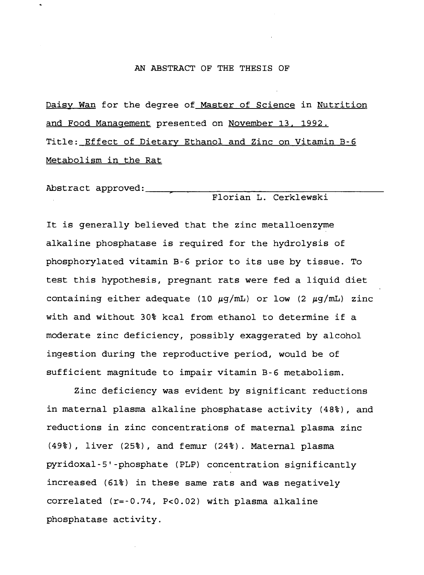#### AN ABSTRACT OF THE THESIS OF

Daisy Wan for the degree of Master of Science in Nutrition and Food Management presented on November 13. 1992. Title: Effect of Dietary Ethanol and Zinc on Vitamin B-6 Metabolism in the Rat

Abstract approved: Florian L. Cerklewski

It is generally believed that the zinc metalloenzyme alkaline phosphatase is required for the hydrolysis of phosphorylated vitamin B-6 prior to its use by tissue. To test this hypothesis, pregnant rats were fed a liquid diet containing either adequate (10  $\mu$ g/mL) or low (2  $\mu$ g/mL) zinc with and without 30% kcal from ethanol to determine if a moderate zinc deficiency, possibly exaggerated by alcohol ingestion during the reproductive period, would be of sufficient magnitude to impair vitamin B-6 metabolism.

Zinc deficiency was evident by significant reductions in maternal plasma alkaline phosphatase activity (48%), and reductions in zinc concentrations of maternal plasma zinc (49%), liver (25%), and femur (24%). Maternal plasma pyridoxal-5'-phosphate (PLP) concentration significantly increased (61%) in these same rats and was negatively correlated (r=-0.74, P<0.02) with plasma alkaline phosphatase activity.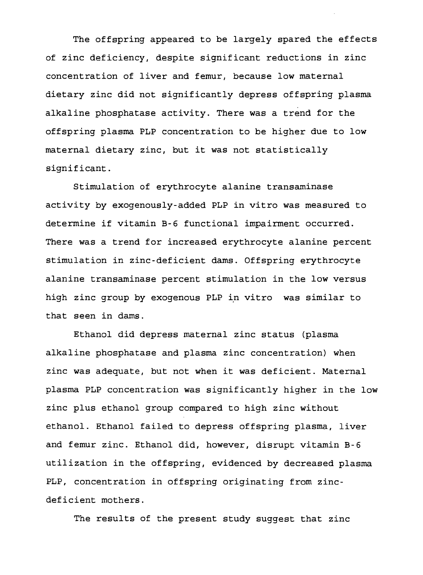The offspring appeared to be largely spared the effects of zinc deficiency, despite significant reductions in zinc concentration of liver and femur, because low maternal dietary zinc did not significantly depress offspring plasma alkaline phosphatase activity. There was a trend for the offspring plasma PLP concentration to be higher due to low maternal dietary zinc, but it was not statistically significant.

Stimulation of erythrocyte alanine transaminase activity by exogenously-added PLP in vitro was measured to determine if vitamin B-6 functional impairment occurred. There was a trend for increased erythrocyte alanine percent stimulation in zinc-deficient dams. Offspring erythrocyte alanine transaminase percent stimulation in the low versus high zinc group by exogenous PLP in vitro was similar to that seen in dams.

Ethanol did depress maternal zinc status (plasma alkaline phosphatase and plasma zinc concentration) when zinc was adequate, but not when it was deficient. Maternal plasma PLP concentration was significantly higher in the low zinc plus ethanol group compared to high zinc without ethanol. Ethanol failed to depress offspring plasma, liver and femur zinc. Ethanol did, however, disrupt vitamin B-6 utilization in the offspring, evidenced by decreased plasma PLP, concentration in offspring originating from zincdeficient mothers.

The results of the present study suggest that zinc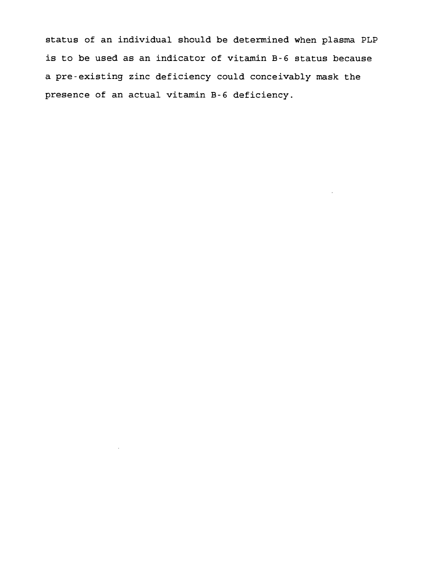status of an individual should be determined when plasma PLP is to be used as an indicator of vitamin B-6 status because a pre-existing zinc deficiency could conceivably mask the presence of an actual vitamin B-6 deficiency.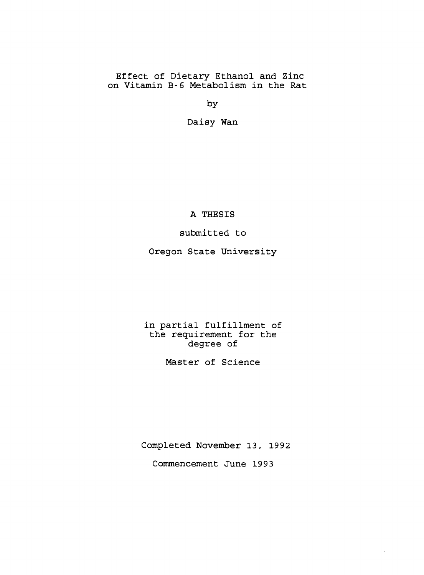# Effect of Dietary Ethanol and Zinc on Vitamin B-6 Metabolism in the Rat

by

Daisy Wan

A THESIS

submitted to

Oregon State University

in partial fulfillment of the requirement for the degree of

Master of Science

Completed November 13, 1992 Commencement June 1993

 $\mathbf{r}$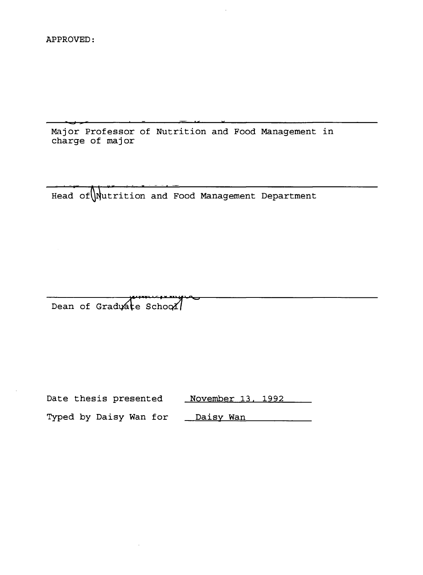Major Professor of Nutrition and Food Management in charge of major

—————<del>—————</del>

:\\Nutri\ Head ofUlfutrition and Food Management Department

"---

h»» ;ii¥»''-<sup>t</sup>ic»i-.M Dean of Graduáte SchooZ

 $\lambda$  i w  $\sim$ 

| Date thesis presented  | November 13, 1992 |
|------------------------|-------------------|
| Typed by Daisy Wan for | Daisy Wan         |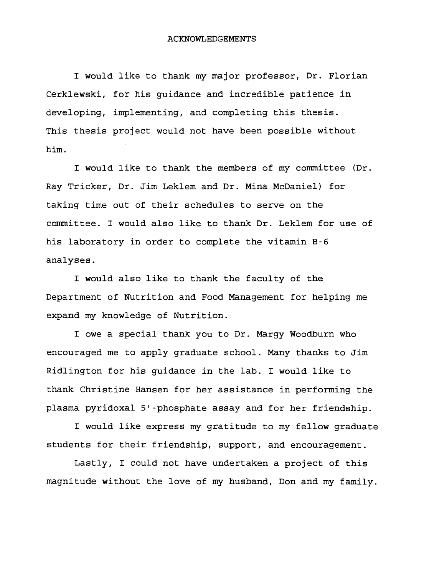#### ACKNOWLEDGEMENTS

I would like to thank my major professor, Dr. Florian Cerklewski, for his guidance and incredible patience in developing, implementing, and completing this thesis. This thesis project would not have been possible without him.

I would like to thank the members of my committee (Dr. Ray Tricker, Dr. Jim Leklem and Dr. Mina McDaniel) for taking time out of their schedules to serve on the committee. I would also like to thank Dr. Leklem for use of his laboratory in order to complete the vitamin B-6 analyses.

I would also like to thank the faculty of the Department of Nutrition and Food Management for helping me expand my knowledge of Nutrition.

I owe a special thank you to Dr. Margy Woodburn who encouraged me to apply graduate school. Many thanks to Jim Ridlington for his guidance in the lab. I would like to thank Christine Hansen for her assistance in performing the plasma pyridoxal 5'-phosphate assay and for her friendship.

I would like express my gratitude to my fellow graduate students for their friendship, support, and encouragement.

Lastly, I could not have undertaken a project of this magnitude without the love of my husband, Don and my family.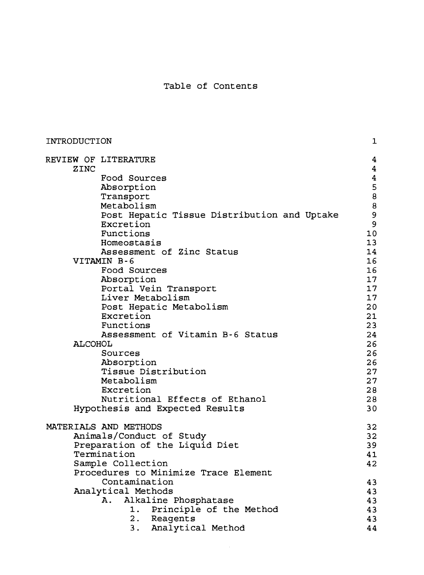# Table of Contents

| INTRODUCTION                 |                                             | $\mathbf{1}$                 |
|------------------------------|---------------------------------------------|------------------------------|
| REVIEW OF LITERATURE<br>ZINC |                                             | 4<br>$\overline{\mathbf{4}}$ |
| Food Sources                 |                                             | $\overline{\mathbf{4}}$      |
| Absorption                   |                                             | 5                            |
| Transport                    |                                             | 8                            |
| Metabolism                   |                                             | 8                            |
|                              | Post Hepatic Tissue Distribution and Uptake | 9                            |
| Excretion                    |                                             | 9                            |
| Functions                    |                                             | 10                           |
| Homeostasis                  |                                             | 13                           |
|                              | Assessment of Zinc Status                   | 14                           |
| VITAMIN B-6                  |                                             | 16                           |
| Food Sources                 |                                             | 16                           |
| Absorption                   |                                             | 17                           |
|                              | Portal Vein Transport                       | 17                           |
| Liver Metabolism             |                                             | 17                           |
|                              | Post Hepatic Metabolism                     | 20                           |
| Excretion                    |                                             | 21                           |
| Functions                    | Assessment of Vitamin B-6 Status            | 23<br>24                     |
| <b>ALCOHOL</b>               |                                             | 26                           |
| Sources                      |                                             | 26                           |
| Absorption                   |                                             | 26                           |
|                              | Tissue Distribution                         | 27                           |
| Metabolism                   |                                             | 27                           |
| Excretion                    |                                             | 28                           |
|                              | Nutritional Effects of Ethanol              | 28                           |
|                              | Hypothesis and Expected Results             | 30                           |
| MATERIALS AND METHODS        |                                             | 32                           |
| Animals/Conduct of Study     |                                             | 32                           |
|                              | Preparation of the Liquid Diet              | 39                           |
| Termination                  |                                             | 41                           |
| Sample Collection            |                                             | 42                           |
|                              | Procedures to Minimize Trace Element        |                              |
| Contamination                |                                             | 43                           |
| Analytical Methods           |                                             | 43                           |
| Α.                           | Alkaline Phosphatase                        | 43                           |
| 1.                           | Principle of the Method                     | 43                           |
|                              | 2. Reagents                                 | 43                           |
| 3.                           | Analytical Method                           | 44                           |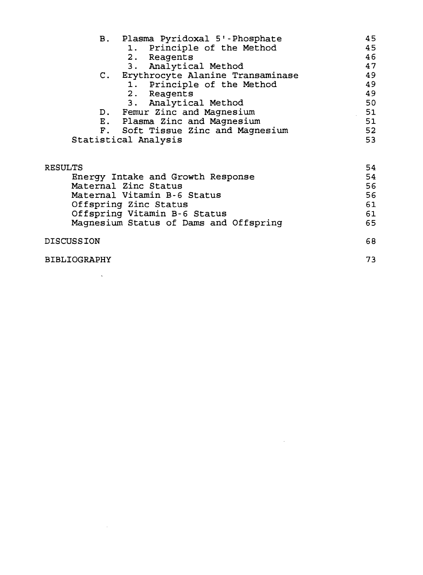|         | B. Plasma Pyridoxal 5'-Phosphate       | 45 |
|---------|----------------------------------------|----|
|         | 1. Principle of the Method             | 45 |
|         | 2. Reagents                            | 46 |
|         | 3. Analytical Method                   | 47 |
|         | C. Erythrocyte Alanine Transaminase    | 49 |
|         | 1. Principle of the Method             | 49 |
|         | 2. Reagents                            | 49 |
|         | 3. Analytical Method                   | 50 |
|         | D. Femur Zinc and Magnesium            | 51 |
|         | E. Plasma Zinc and Magnesium           | 51 |
|         | F. Soft Tissue Zinc and Magnesium      | 52 |
|         | Statistical Analysis                   | 53 |
| RESULTS |                                        | 54 |
|         | Energy Intake and Growth Response      | 54 |
|         | Maternal Zinc Status                   | 56 |
|         | Maternal Vitamin B-6 Status            | 56 |
|         | Offspring Zinc Status                  | 61 |
|         | Offspring Vitamin B-6 Status           | 61 |
|         | Magnesium Status of Dams and Offspring | 65 |
|         |                                        |    |

 $\mathcal{L}^{\text{max}}_{\text{max}}$  and  $\mathcal{L}^{\text{max}}_{\text{max}}$ 

# DISCUSSION 68

BIBLIOGRAPHY 73

 $\sim 10^{11}$ 

 $\sim 10^{11}$  km s  $^{-1}$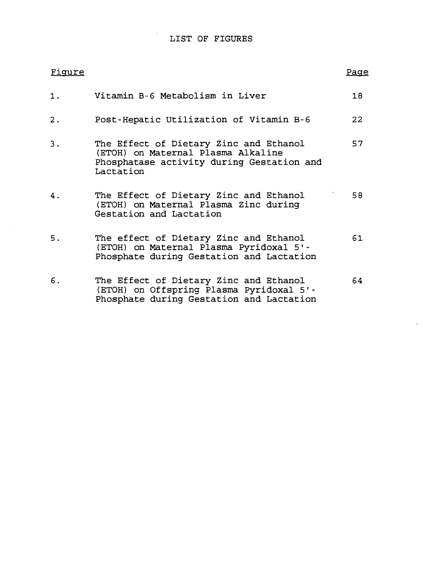# LIST OF FIGURES

 $\ddot{\phantom{a}}$ 

| Fiqure |                                                                                                                                        | Page |
|--------|----------------------------------------------------------------------------------------------------------------------------------------|------|
| 1.     | Vitamin B-6 Metabolism in Liver                                                                                                        | 18   |
| 2.     | Post-Hepatic Utilization of Vitamin B-6                                                                                                | 22   |
| 3.     | The Effect of Dietary Zinc and Ethanol<br>(ETOH) on Maternal Plasma Alkaline<br>Phosphatase activity during Gestation and<br>Lactation | 57   |
| 4.     | The Effect of Dietary Zinc and Ethanol<br>(ETOH) on Maternal Plasma Zinc during<br>Gestation and Lactation                             | 58   |
| 5.     | The effect of Dietary Zinc and Ethanol<br>(ETOH) on Maternal Plasma Pyridoxal 5'-<br>Phosphate during Gestation and Lactation          | 61   |
| 6.     | The Effect of Dietary Zinc and Ethanol<br>(ETOH) on Offspring Plasma Pyridoxal 5'-<br>Phosphate during Gestation and Lactation         | 64.  |

 $\overline{a}$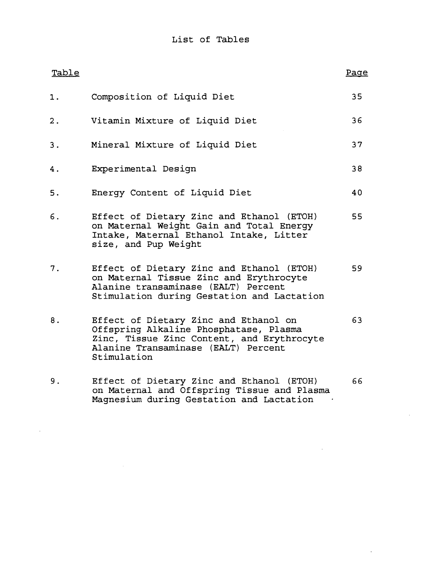| Table |                                                                                                                                                                                     | Page |
|-------|-------------------------------------------------------------------------------------------------------------------------------------------------------------------------------------|------|
| 1.    | Composition of Liquid Diet                                                                                                                                                          | 35   |
| 2.    | Vitamin Mixture of Liquid Diet                                                                                                                                                      | 36   |
| 3.    | Mineral Mixture of Liquid Diet                                                                                                                                                      | 37   |
| 4.    | Experimental Design                                                                                                                                                                 | 38   |
| 5.    | Energy Content of Liquid Diet                                                                                                                                                       | 40   |
| 6.    | Effect of Dietary Zinc and Ethanol (ETOH)<br>on Maternal Weight Gain and Total Energy<br>Intake, Maternal Ethanol Intake, Litter<br>size, and Pup Weight                            | 55   |
| 7.    | Effect of Dietary Zinc and Ethanol (ETOH)<br>on Maternal Tissue Zinc and Erythrocyte<br>Alanine transaminase (EALT) Percent<br>Stimulation during Gestation and Lactation           | 59   |
| 8.    | Effect of Dietary Zinc and Ethanol on<br>Offspring Alkaline Phosphatase, Plasma<br>Zinc, Tissue Zinc Content, and Erythrocyte<br>Alanine Transaminase (EALT) Percent<br>Stimulation | 63   |
| 9.    | Effect of Dietary Zinc and Ethanol (ETOH)<br>on Maternal and Offspring Tissue and Plasma<br>Magnesium during Gestation and Lactation                                                | 66   |

 $\sim 10$ 

à.

 $\ddot{\phantom{a}}$ 

 $\ddot{\phantom{1}}$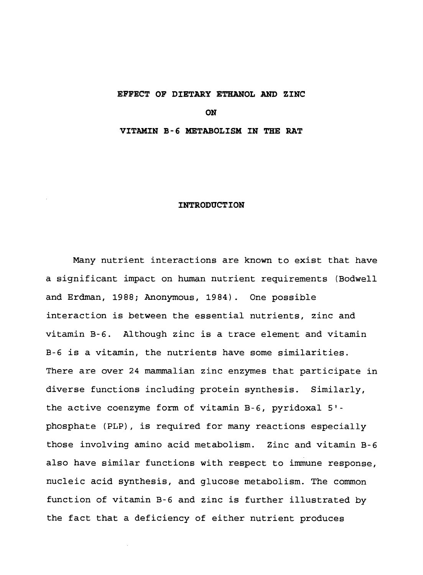## **EFFECT OF DIETARY ETHANOL AND ZINC**

**ON**

### **VITAMIN B-6 METABOLISM IN THE RAT**

#### **INTRODUCTION**

Many nutrient interactions are known to exist that have a significant impact on human nutrient requirements (Bodwell and Erdman, 1988; Anonymous, 1984). One possible interaction is between the essential nutrients, zinc and vitamin B-6. Although zinc is a trace element and vitamin B-6 is a vitamin, the nutrients have some similarities. There are over 24 mammalian zinc enzymes that participate in diverse functions including protein synthesis. Similarly, the active coenzyme form of vitamin B-6, pyridoxal 5' phosphate (PLP), is required for many reactions especially those involving amino acid metabolism. Zinc and vitamin B-6 also have similar functions with respect to immune response, nucleic acid synthesis, and glucose metabolism. The common function of vitamin B-6 and zinc is further illustrated by the fact that a deficiency of either nutrient produces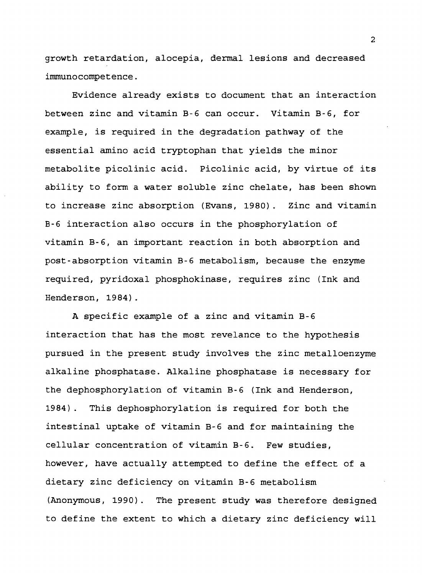growth retardation, alocepia, dermal lesions and decreased immunocompetence.

Evidence already exists to document that an interaction between zinc and vitamin B-6 can occur. Vitamin B-6, for example, is required in the degradation pathway of the essential amino acid tryptophan that yields the minor metabolite picolinic acid. Picolinic acid, by virtue of its ability to form a water soluble zinc chelate, has been shown to increase zinc absorption (Evans, 1980). Zinc and vitamin B-6 interaction also occurs in the phosphorylation of vitamin B-6, an important reaction in both absorption and post-absorption vitamin B-6 metabolism, because the enzyme required, pyridoxal phosphokinase, requires zinc (Ink and Henderson, 1984) .

A specific example of a zinc and vitamin B-6 interaction that has the most revelance to the hypothesis pursued in the present study involves the zinc metalloenzyme alkaline phosphatase. Alkaline phosphatase is necessary for the dephosphorylation of vitamin B-6 (Ink and Henderson, 1984). This dephosphorylation is required for both the intestinal uptake of vitamin B-6 and for maintaining the cellular concentration of vitamin B-6. Few studies, however, have actually attempted to define the effect of a dietary zinc deficiency on vitamin B-6 metabolism (Anonymous, 1990). The present study was therefore designed to define the extent to which a dietary zinc deficiency will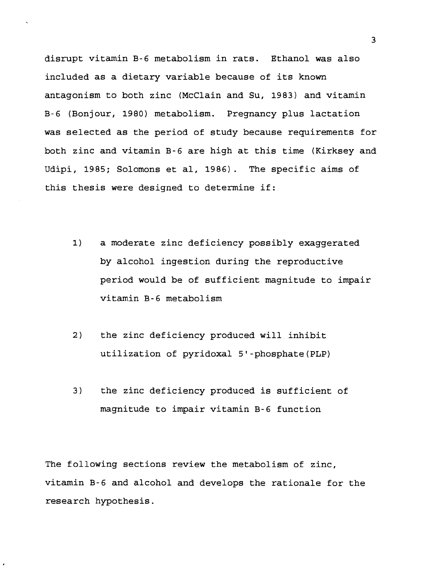disrupt vitamin B-6 metabolism in rats. Ethanol was also included as a dietary variable because of its known antagonism to both zinc (McClain and Su, 1983) and vitamin B-6 (Bonjour, 1980) metabolism. Pregnancy plus lactation was selected as the period of study because requirements for both zinc and vitamin B-6 are high at this time (Kirksey and Udipi, 1985; Solomons et al, 1986). The specific aims of this thesis were designed to determine if:

- 1) a moderate zinc deficiency possibly exaggerated by alcohol ingestion during the reproductive period would be of sufficient magnitude to impair vitamin B-6 metabolism
- 2) the zinc deficiency produced will inhibit utilization of pyridoxal 5'-phosphate(PLP)
- 3) the zinc deficiency produced is sufficient of magnitude to impair vitamin B-6 function

The following sections review the metabolism of zinc, vitamin B-6 and alcohol and develops the rationale for the research hypothesis.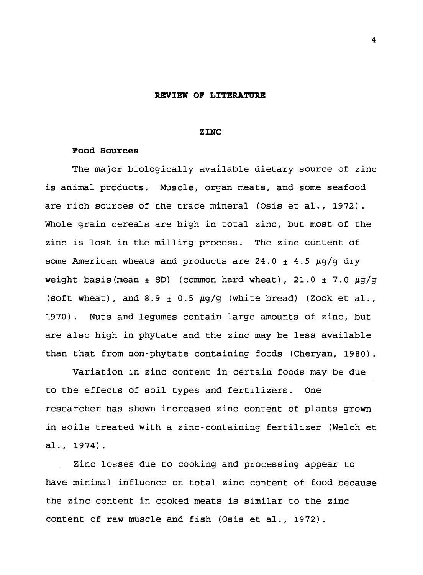#### **REVIEW OF LITERATURE**

#### **ZINC**

### **Food Sources**

The major biologically available dietary source of zinc is animal products. Muscle, organ meats, and some seafood are rich sources of the trace mineral (Osis et al., 1972). Whole grain cereals are high in total zinc, but most of the zinc is lost in the milling process. The zinc content of some American wheats and products are 24.0 <sup>±</sup> 4.5 *ug/g* dry weight basis (mean  $\pm$  SD) (common hard wheat), 21.0  $\pm$  7.0  $\mu$ g/g (soft wheat), and 8.9  $\pm$  0.5  $\mu$ g/g (white bread) (Zook et al., 1970). Nuts and legumes contain large amounts of zinc, but are also high in phytate and the zinc may be less available than that from non-phytate containing foods (Cheryan, 1980).

Variation in zinc content in certain foods may be due to the effects of soil types and fertilizers. One researcher has shown increased zinc content of plants grown in soils treated with a zinc-containing fertilizer (Welch et al., 1974).

Zinc losses due to cooking and processing appear to have minimal influence on total zinc content of food because the zinc content in cooked meats is similar to the zinc content of raw muscle and fish (Osis et al., 1972).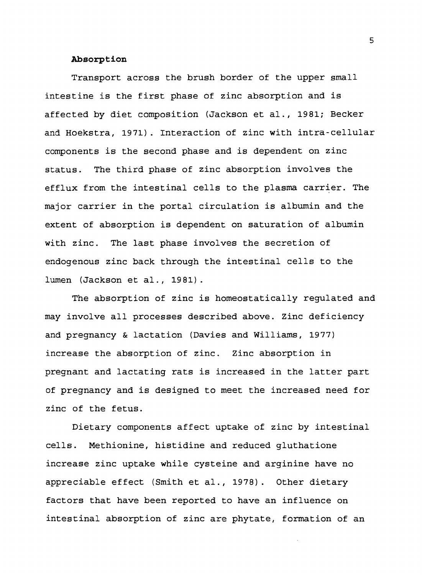# **Absorption**

Transport across the brush border of the upper small intestine is the first phase of zinc absorption and is affected by diet composition (Jackson et al., 1981; Becker and Hoekstra, 1971). Interaction of zinc with intra-cellular components is the second phase and is dependent on zinc status. The third phase of zinc absorption involves the efflux from the intestinal cells to the plasma carrier. The major carrier in the portal circulation is albumin and the extent of absorption is dependent on saturation of albumin with zinc. The last phase involves the secretion of endogenous zinc back through the intestinal cells to the lumen (Jackson et al., 1981).

The absorption of zinc is homeostatically regulated and may involve all processes described above. Zinc deficiency and pregnancy & lactation (Davies and Williams, 1977) increase the absorption of zinc. Zinc absorption in pregnant and lactating rats is increased in the latter part of pregnancy and is designed to meet the increased need for zinc of the fetus.

Dietary components affect uptake of zinc by intestinal cells. Methionine, histidine and reduced gluthatione increase zinc uptake while cysteine and arginine have no appreciable effect (Smith et al., 1978). Other dietary factors that have been reported to have an influence on intestinal absorption of zinc are phytate, formation of an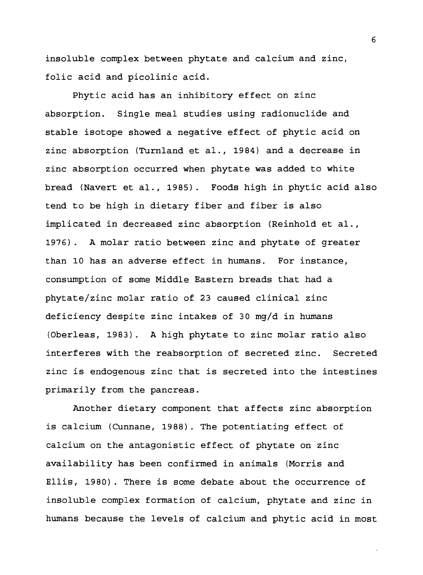insoluble complex between phytate and calcium and zinc, folic acid and picolinic acid.

Phytic acid has an inhibitory effect on zinc absorption. Single meal studies using radionuclide and stable isotope showed a negative effect of phytic acid on zinc absorption (Turnland et al., 1984) and a decrease in zinc absorption occurred when phytate was added to white bread (Navert et al., 1985). Foods high in phytic acid also tend to be high in dietary fiber and fiber is also implicated in decreased zinc absorption (Reinhold et al., 1976) . A molar ratio between zinc and phytate of greater than 10 has an adverse effect in humans. For instance, consumption of some Middle Eastern breads that had a phytate/zinc molar ratio of 23 caused clinical zinc deficiency despite zinc intakes of 30 mg/d in humans (Oberleas, 1983). A high phytate to zinc molar ratio also interferes with the reabsorption of secreted zinc. Secreted zinc is endogenous zinc that is secreted into the intestines primarily from the pancreas.

Another dietary component that affects zinc absorption is calcium (Cunnane, 19 88). The potentiating effect of calcium on the antagonistic effect of phytate on zinc availability has been confirmed in animals (Morris and Ellis, 1980). There is some debate about the occurrence of insoluble complex formation of calcium, phytate and zinc in humans because the levels of calcium and phytic acid in most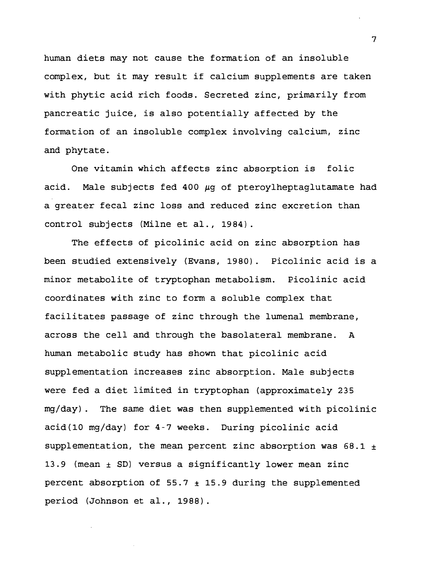human diets may not cause the formation of an insoluble complex, but it may result if calcium supplements are taken with phytic acid rich foods. Secreted zinc, primarily from pancreatic juice, is also potentially affected by the formation of an insoluble complex involving calcium, zinc and phytate.

One vitamin which affects zinc absorption is folic acid. Male subjects fed 400 µg of pteroylheptaglutamate had a greater fecal zinc loss and reduced zinc excretion than control subjects (Milne et al., 1984).

The effects of picolinic acid on zinc absorption has been studied extensively (Evans, 1980) . Picolinic acid is a minor metabolite of tryptophan metabolism. Picolinic acid coordinates with zinc to form a soluble complex that facilitates passage of zinc through the lumenal membrane, across the cell and through the basolateral membrane. A human metabolic study has shown that picolinic acid supplementation increases zinc absorption. Male subjects were fed a diet limited in tryptophan (approximately 235 mg/day). The same diet was then supplemented with picolinic acid(10 mg/day) for 4-7 weeks. During picolinic acid supplementation, the mean percent zinc absorption was  $68.1 +$ 13.9 (mean  $\pm$  SD) versus a significantly lower mean zinc percent absorption of  $55.7 \pm 15.9$  during the supplemented period (Johnson et al., 1988).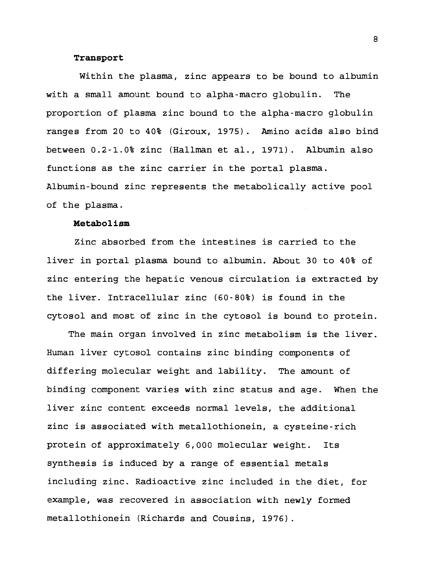#### **Transport**

Within the plasma, zinc appears to be bound to albumin with a small amount bound to alpha-macro globulin. The proportion of plasma zinc bound to the alpha-macro globulin ranges from 20 to 40% (Giroux, 1975). Amino acids also bind between 0.2-1.0% zinc (Hallman et al., 1971). Albumin also functions as the zinc carrier in the portal plasma. Albumin-bound zinc represents the metabolically active pool of the plasma.

## **Metabolism**

Zinc absorbed from the intestines is carried to the liver in portal plasma bound to albumin. About 30 to 40% of zinc entering the hepatic venous circulation is extracted by the liver. Intracellular zinc (60-80%) is found in the cytosol and most of zinc in the cytosol is bound to protein.

The main organ involved in zinc metabolism is the liver. Human liver cytosol contains zinc binding components of differing molecular weight and lability. The amount of binding component varies with zinc status and age. When the liver zinc content exceeds normal levels, the additional zinc is associated with metallothionein, a cysteine-rich protein of approximately 6,000 molecular weight. Its synthesis is induced by a range of essential metals including zinc. Radioactive zinc included in the diet, for example, was recovered in association with newly formed metallothionein (Richards and Cousins, 1976).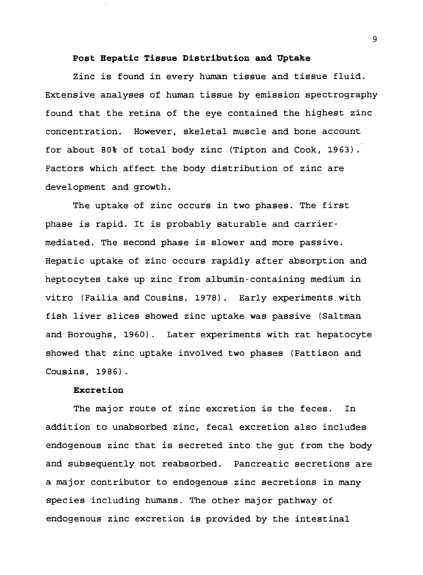## **Post Hepatic Tissue Distribution and Uptake**

Zinc is found in every human tissue and tissue fluid. Extensive analyses of human tissue by emission spectrography found that the retina of the eye contained the highest zinc concentration. However, skeletal muscle and bone account for about 80% of total body zinc (Tipton and Cook, 1963) . Factors which affect the body distribution of zinc are development and growth.

The uptake of zinc occurs in two phases. The first phase is rapid. It is probably saturable and carriermediated. The second phase is slower and more passive. Hepatic uptake of zinc occurs rapidly after absorption and heptocytes take up zinc from albumin-containing medium in vitro (Failia and Cousins, 1978). Early experiments with fish liver slices showed zinc uptake was passive (Saltman and Boroughs, 1960). Later experiments with rat hepatocyte showed that zinc uptake involved two phases (Pattison and Cousins, 1986).

# **Excretion**

The major route of zinc excretion is the feces. In addition to unabsorbed zinc, fecal excretion also includes endogenous zinc that is secreted into the gut from the body and subsequently not reabsorbed. Pancreatic secretions are a major contributor to endogenous zinc secretions in many species including humans. The other major pathway of endogenous zinc excretion is provided by the intestinal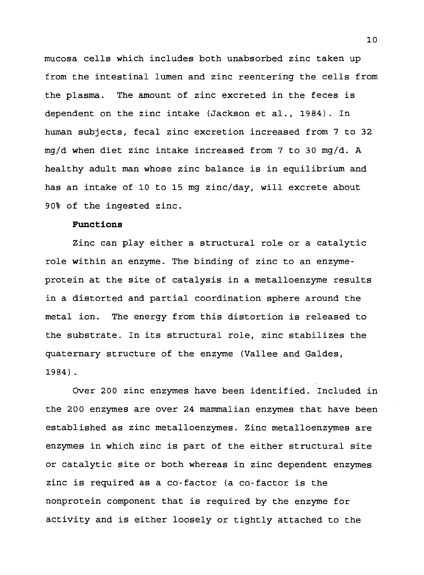mucosa cells which includes both unabsorbed zinc taken up from the intestinal lumen and zinc reentering the cells from the plasma. The amount of zinc excreted in the feces is dependent on the zinc intake (Jackson et al., 1984). In human subjects, fecal zinc excretion increased from 7 to 32 mg/d when diet zinc intake increased from <sup>7</sup> to 30 mg/d. A healthy adult man whose zinc balance is in equilibrium and has an intake of 10 to 15 mg zinc/day, will excrete about 90% of the ingested zinc.

# **Functions**

Zinc can play either a structural role or a catalytic role within an enzyme. The binding of zinc to an enzymeprotein at the site of catalysis in a metalloenzyme results in a distorted and partial coordination sphere around the metal ion. The energy from this distortion is released to the substrate. In its structural role, zinc stabilizes the quaternary structure of the enzyme (Vallee and Galdes, 1984) .

Over 200 zinc enzymes have been identified. Included in the 200 enzymes are over 24 mammalian enzymes that have been established as zinc metal1oenzymes. Zinc metalloenzymes are enzymes in which zinc is part of the either structural site or catalytic site or both whereas in zinc dependent enzymes zinc is required as a co-factor (a co-factor is the nonprotein component that is required by the enzyme for activity and is either loosely or tightly attached to the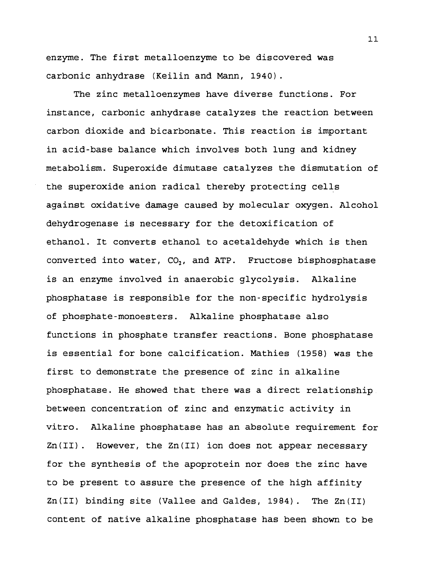enzyme. The first metalloenzyme to be discovered was carbonic anhydrase (Keilin and Mann, 1940).

The zinc metalloenzymes have diverse functions. For instance, carbonic anhydrase catalyzes the reaction between carbon dioxide and bicarbonate. This reaction is important in acid-base balance which involves both lung and kidney metabolism. Superoxide dimutase catalyzes the dismutation of the superoxide anion radical thereby protecting cells against oxidative damage caused by molecular oxygen. Alcohol dehydrogenase is necessary for the detoxification of ethanol. It converts ethanol to acetaldehyde which is then converted into water,  $CO<sub>2</sub>$ , and ATP. Fructose bisphosphatase is an enzyme involved in anaerobic glycolysis. Alkaline phosphatase is responsible for the non-specific hydrolysis of phosphate-monoesters. Alkaline phosphatase also functions in phosphate transfer reactions. Bone phosphatase is essential for bone calcification. Mathies (1958) was the first to demonstrate the presence of zinc in alkaline phosphatase. He showed that there was a direct relationship between concentration of zinc and enzymatic activity in vitro. Alkaline phosphatase has an absolute requirement for Zn(II) . However, the Zn(II) ion does not appear necessary for the synthesis of the apoprotein nor does the zinc have to be present to assure the presence of the high affinity Zn(II) binding site (Vallee and Galdes, 1984). The Zn(II) content of native alkaline phosphatase has been shown to be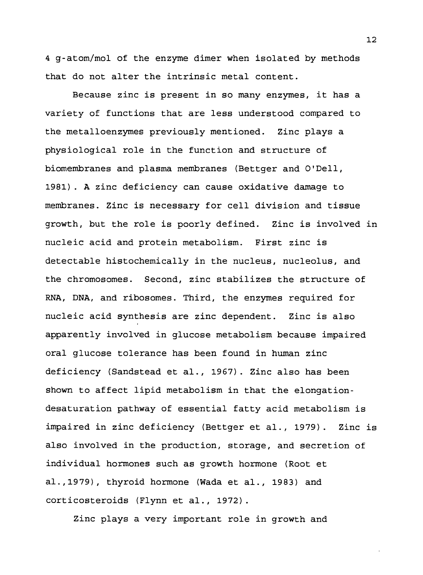4 g-atom/mol of the enzyme dimer when isolated by methods that do not alter the intrinsic metal content.

Because zinc is present in so many enzymes, it has a variety of functions that are less understood compared to the metalloenzymes previously mentioned. Zinc plays a physiological role in the function and structure of biomembranes and plasma membranes (Bettger and O'Dell, 1981). A zinc deficiency can cause oxidative damage to membranes. Zinc is necessary for cell division and tissue growth, but the role is poorly defined. Zinc is involved in nucleic acid and protein metabolism. First zinc is detectable histochemically in the nucleus, nucleolus, and the chromosomes. Second, zinc stabilizes the structure of RNA, DNA, and ribosomes. Third, the enzymes required for nucleic acid synthesis are zinc dependent. Zinc is also apparently involved in glucose metabolism because impaired oral glucose tolerance has been found in human zinc deficiency (Sandstead et al., 1967). Zinc also has been shown to affect lipid metabolism in that the elongationdesaturation pathway of essential fatty acid metabolism is impaired in zinc deficiency (Bettger et al., 1979). Zinc is also involved in the production, storage, and secretion of individual hormones such as growth hormone (Root et al.,1979), thyroid hormone (Wada et al., 1983) and corticosteroids (Flynn et al., 1972).

Zinc plays a very important role in growth and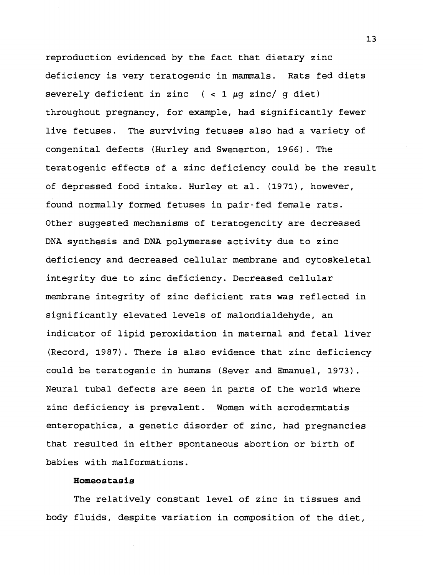reproduction evidenced by the fact that dietary zinc deficiency is very teratogenic in mammals. Rats fed diets severely deficient in zinc  $($  < 1  $\mu$ q zinc/ q diet) throughout pregnancy, for example, had significantly fewer live fetuses. The surviving fetuses also had a variety of congenital defects (Hurley and Swenerton, 1966). The teratogenic effects of a zinc deficiency could be the result of depressed food intake. Hurley et al. (1971), however, found normally formed fetuses in pair-fed female rats. Other suggested mechanisms of teratogencity are decreased DNA synthesis and DNA polymerase activity due to zinc deficiency and decreased cellular membrane and cytoskeletal integrity due to zinc deficiency. Decreased cellular membrane integrity of zinc deficient rats was reflected in significantly elevated levels of malondialdehyde, an indicator of lipid peroxidation in maternal and fetal liver (Record, 1987). There is also evidence that zinc deficiency could be teratogenic in humans (Sever and Emanuel, 1973). Neural tubal defects are seen in parts of the world where zinc deficiency is prevalent. Women with acrodermtatis enteropathica, a genetic disorder of zinc, had pregnancies that resulted in either spontaneous abortion or birth of babies with malformations.

# **Homeostasis**

The relatively constant level of zinc in tissues and body fluids, despite variation in composition of the diet.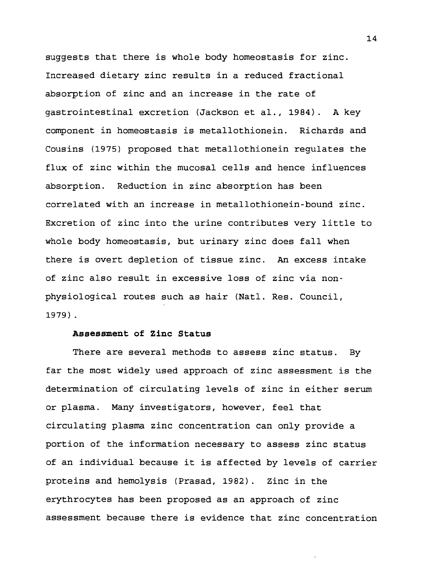suggests that there is whole body homeostasis for zinc. Increased dietary zinc results in a reduced fractional absorption of zinc and an increase in the rate of gastrointestinal excretion (Jackson et al., 1984). A key component in homeostasis is metallothionein. Richards and Cousins (1975) proposed that metallothionein regulates the flux of zinc within the mucosal cells and hence influences absorption. Reduction in zinc absorption has been correlated with an increase in metallothionein-bound zinc. Excretion of zinc into the urine contributes very little to whole body homeostasis, but urinary zinc does fall when there is overt depletion of tissue zinc. An excess intake of zinc also result in excessive loss of zinc via nonphysiological routes such as hair (Natl. Res. Council, 1979) .

# **Assessment of Zinc Status**

There are several methods to assess zinc status. By far the most widely used approach of zinc assessment is the determination of circulating levels of zinc in either serum or plasma. Many investigators, however, feel that circulating plasma zinc concentration can only provide a portion of the information necessary to assess zinc status of an individual because it is affected by levels of carrier proteins and hemolysis (Prasad, 1982). Zinc in the erythrocytes has been proposed as an approach of zinc assessment because there is evidence that zinc concentration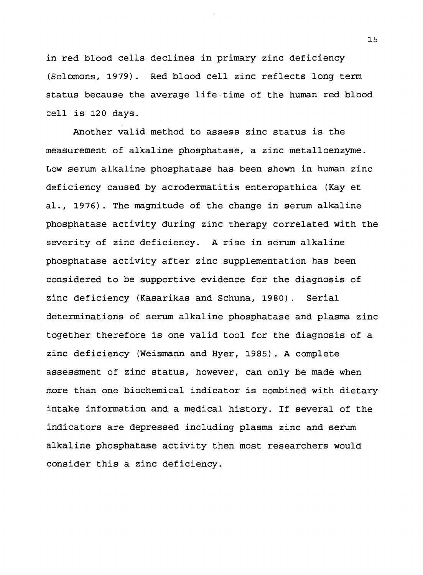in red blood cells declines in primary zinc deficiency (Solomons, 1979). Red blood cell zinc reflects long term status because the average life-time of the human red blood cell is 120 days.

Another valid method to assess zinc status is the measurement of alkaline phosphatase, a zinc metalloenzyme. Low serum alkaline phosphatase has been shown in human zinc deficiency caused by acrodermatitis enteropathica (Kay et al., 1976). The magnitude of the change in serum alkaline phosphatase activity during zinc therapy correlated with the severity of zinc deficiency. A rise in serum alkaline phosphatase activity after zinc supplementation has been considered to be supportive evidence for the diagnosis of zinc deficiency (Kasarikas and Schuna, 1980) . Serial determinations of serum alkaline phosphatase and plasma zinc together therefore is one valid tool for the diagnosis of a zinc deficiency (Weismann and Hyer, 1985). A complete assessment of zinc status, however, can only be made when more than one biochemical indicator is combined with dietary intake information and a medical history. If several of the indicators are depressed including plasma zinc and serum alkaline phosphatase activity then most researchers would consider this a zinc deficiency.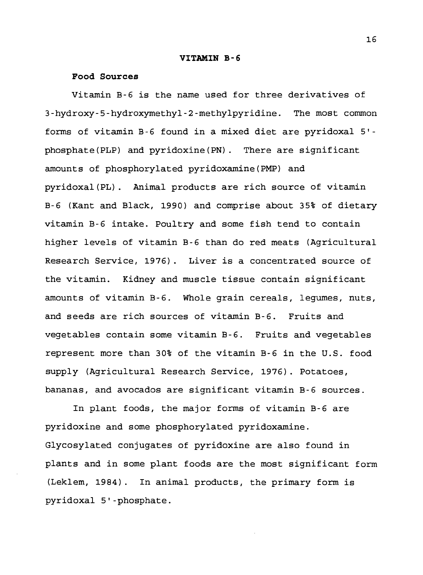#### **VITAMIN B-6**

#### **Food Sources**

Vitamin B-6 is the name used for three derivatives of 3-hydroxy-5-hydroxymethyl-2-methylpyridine. The most common forms of vitamin B-6 found in a mixed diet are pyridoxal 5' phosphate(PLP) and pyridoxine(PN). There are significant amounts of phosphorylated pyridoxamine(PMP) and pyridoxal(PL). Animal products are rich source of vitamin B-6 (Kant and Black, 1990) and comprise about 35% of dietary vitamin B-6 intake. Poultry and some fish tend to contain higher levels of vitamin B-6 than do red meats (Agricultural Research Service, 1976). Liver is a concentrated source of the vitamin. Kidney and muscle tissue contain significant amounts of vitamin B-6. Whole grain cereals, legumes, nuts, and seeds are rich sources of vitamin B-6. Fruits and vegetables contain some vitamin B-6. Fruits and vegetables represent more than <sup>3</sup> 0% of the vitamin B-6 in the U.S. food supply (Agricultural Research Service, 1976). Potatoes, bananas, and avocados are significant vitamin B-6 sources.

In plant foods, the major forms of vitamin B-6 are pyridoxine and some phosphorylated pyridoxamine. Glycosylated conjugates of pyridoxine are also found in plants and in some plant foods are the most significant form (Leklem, 1984). In animal products, the primary form is pyridoxal 5'-phosphate.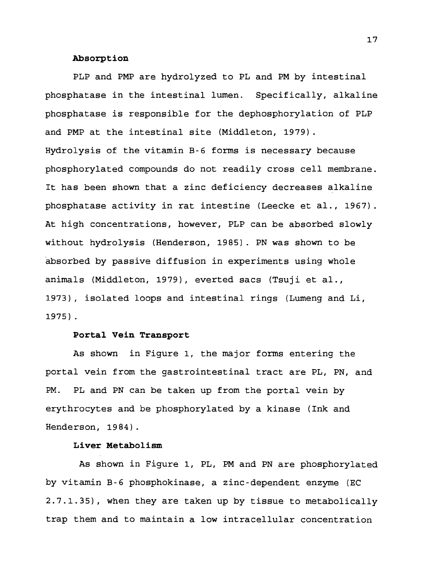# **Absorption**

PLP and PMP are hydrolyzed to PL and PM by intestinal phosphatase in the intestinal lumen. Specifically, alkaline phosphatase is responsible for the dephosphorylation of PLP and PMP at the intestinal site (Middleton, 1979). Hydrolysis of the vitamin B-6 forms is necessary because phosphorylated compounds do not readily cross cell membrane. It has been shown that a zinc deficiency decreases alkaline phosphatase activity in rat intestine (Leecke et al., 1967). At high concentrations, however, PLP can be absorbed slowly without hydrolysis (Henderson, 1985). PN was shown to be absorbed by passive diffusion in experiments using whole animals (Middleton, 1979), everted sacs (Tsuji et al., 1973), isolated loops and intestinal rings (Lumeng and Li, 1975) .

#### **Portal Vein Transport**

As shown in Figure 1, the major forms entering the portal vein from the gastrointestinal tract are PL, PN, and PM. PL and PN can be taken up from the portal vein by erythrocytes and be phosphorylated by a kinase (Ink and Henderson, 1984).

#### **Liver Metabolism**

As shown in Figure 1, PL, PM and PN are phosphorylated by vitamin B-6 phosphokinase, a zinc-dependent enzyme (EC 2.7.1.35), when they are taken up by tissue to metabolically trap them and to maintain a low intracellular concentration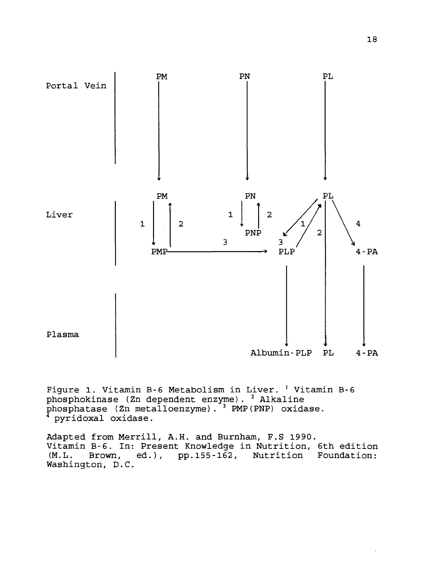

Figure 1. Vitamin B-6 Metabolism in Liver. *<sup>l</sup>* Vitamin B-6 phosphokinase (Zn dependent enzyme). <sup>2</sup> Alkaline  ${\tt phosphatase}$  (Zn metalloenzyme).  $^3$  PMP(PNP) oxidase. pyridoxal oxidase.

Adapted from Merrill, A.H. and Burnham, F.S 1990. Vitamin B-6. In: Present Knowledge in Nutrition, 6th edition (M.L. Brown, ed.), pp.155-162, Nutrition Foundation: Washington, D.C.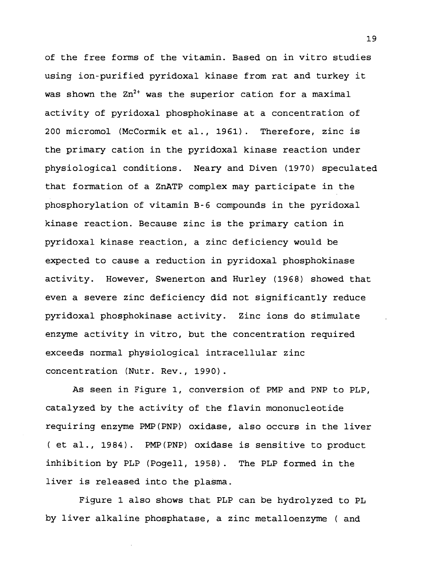of the free forms of the vitamin. Based on in vitro studies using ion-purified pyridoxal kinase from rat and turkey it was shown the  ${\rm Zn^{2+}}$  was the superior cation for a maximal activity of pyridoxal phosphokinase at a concentration of 200 micromol (McCormik et al., 1961). Therefore, zinc is the primary cation in the pyridoxal kinase reaction under physiological conditions. Neary and Diven (1970) speculated that formation of a ZnATP complex may participate in the phosphorylation of vitamin B-6 compounds in the pyridoxal kinase reaction. Because zinc is the primary cation in pyridoxal kinase reaction, a zinc deficiency would be expected to cause a reduction in pyridoxal phosphokinase activity. However, Swenerton and Hurley (1968) showed that even a severe zinc deficiency did not significantly reduce pyridoxal phosphokinase activity. Zinc ions do stimulate enzyme activity in vitro, but the concentration required exceeds normal physiological intracellular zinc concentration (Nutr. Rev., 1990).

As seen in Figure 1, conversion of PMP and PNP to PLP, catalyzed by the activity of the flavin mononucleotide requiring enzyme PMP(PNP) oxidase, also occurs in the liver ( et al., 1984). PMP(PNP) oxidase is sensitive to product inhibition by PLP (Pogell, 1958). The PLP formed in the liver is released into the plasma.

Figure 1 also shows that PLP can be hydrolyzed to PL by liver alkaline phosphatase, a zinc metalloenzyme ( and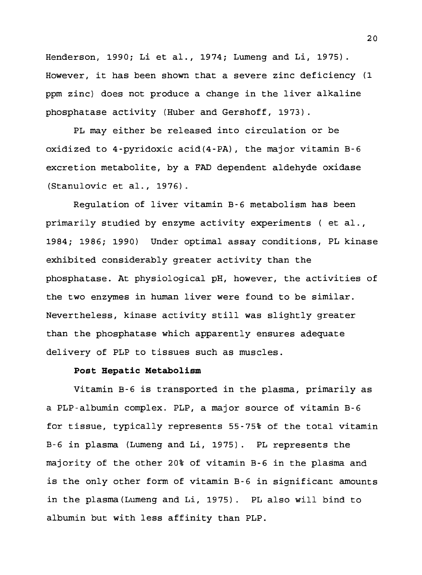Henderson, 1990; Li et al., 1974; Lumeng and Li, 1975). However, it has been shown that a severe zinc deficiency (1 ppm zinc) does not produce a change in the liver alkaline phosphatase activity (Huber and Gershoff, 1973).

PL may either be released into circulation or be oxidized to 4-pyridoxic acid(4-PA), the major vitamin B-6 excretion metabolite, by a FAD dependent aldehyde oxidase (Stanulovic et al., 1976).

Regulation of liver vitamin B-6 metabolism has been primarily studied by enzyme activity experiments ( et al., 1984; 1986; 1990) Under optimal assay conditions, PL kinase exhibited considerably greater activity than the phosphatase. At physiological pH, however, the activities of the two enzymes in human liver were found to be similar. Nevertheless, kinase activity still was slightly greater than the phosphatase which apparently ensures adequate delivery of PLP to tissues such as muscles.

## **Post Hepatic Metabolism**

Vitamin B-6 is transported in the plasma, primarily as a PLP-albumin complex. PLP, a major source of vitamin B-6 for tissue, typically represents 55-75% of the total vitamin B-6 in plasma (Lumeng and Li, 1975). PL represents the majority of the other 20% of vitamin B-6 in the plasma and is the only other form of vitamin B-6 in significant amounts in the plasma(Lumeng and Li, 1975). PL also will bind to albumin but with less affinity than PLP.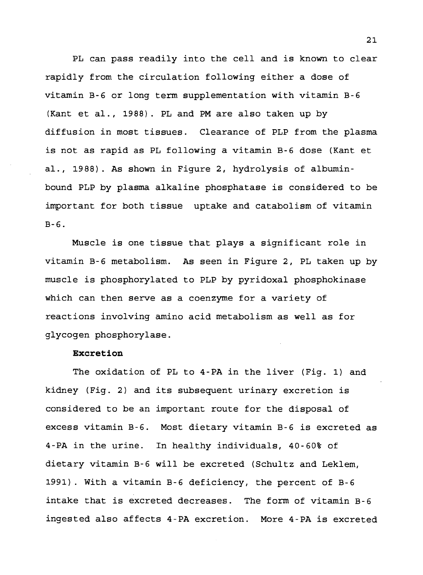PL can pass readily into the cell and is known to clear rapidly from the circulation following either a dose of vitamin B-6 or long term supplementation with vitamin B-6 (Kant et al., 1988). PL and PM are also taken up by diffusion in most tissues. Clearance of PLP from the plasma is not as rapid as PL following a vitamin B-6 dose (Kant et al., 1988). As shown in Figure 2, hydrolysis of albuminbound PLP by plasma alkaline phosphatase is considered to be important for both tissue uptake and catabolism of vitamin B-6.

Muscle is one tissue that plays a significant role in vitamin B-6 metabolism. As seen in Figure 2, PL taken up by muscle is phosphorylated to PLP by pyridoxal phosphokinase which can then serve as a coenzyme for a variety of reactions involving amino acid metabolism as well as for glycogen phosphorylase.

## **Excretion**

The oxidation of PL to 4-PA in the liver (Fig. 1) and kidney (Fig. 2) and its subsequent urinary excretion is considered to be an important route for the disposal of excess vitamin B-6. Most dietary vitamin B-6 is excreted as 4-PA in the urine. In healthy individuals, 40-60% of dietary vitamin B-6 will be excreted (Schultz and Leklem, 1991) . With a vitamin B-6 deficiency, the percent of B-6 intake that is excreted decreases. The form of vitamin B-6 ingested also affects 4-PA excretion. More 4-PA is excreted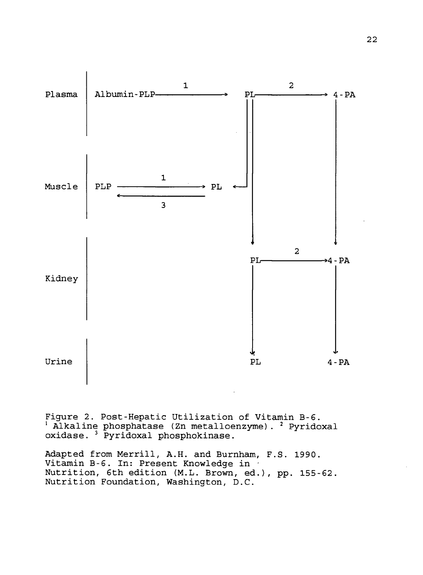

Figure 2. Post-Hepatic Utilization of Vitamin B-6.  $^1$  Alkaline phosphatase (Zn metalloenzyme).  $^2$  Pyridoxal oxidase. <sup>3</sup> Pyridoxal phosphokinase.

Adapted from Merrill, A.H. and Burnham, F.S. 1990. Vitamin B-6. In: Present Knowledge in Nutrition, 6th edition (M.L. Brown, ed.), pp. 155-62. Nutrition Foundation, Washington, D.C.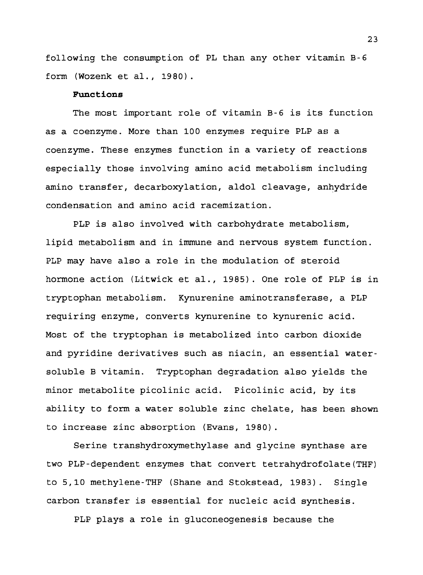following the consumption of PL than any other vitamin B-6 form (Wozenk et al., 1980).

#### **Functions**

The most important role of vitamin B-6 is its function as a coenzyme. More than 100 enzymes require PLP as a coenzyme. These enzymes function in a variety of reactions especially those involving amino acid metabolism including amino transfer, decarboxylation, aldol cleavage, anhydride condensation and amino acid racemization.

PLP is also involved with carbohydrate metabolism, lipid metabolism and in immune and nervous system function. PLP may have also a role in the modulation of steroid hormone action (Litwick et al., 1985). One role of PLP is in tryptophan metabolism. Kynurenine aminotransferase, a PLP requiring enzyme, converts kynurenine to kynurenic acid. Most of the tryptophan is metabolized into carbon dioxide and pyridine derivatives such as niacin, an essential watersoluble B vitamin. Tryptophan degradation also yields the minor metabolite picolinic acid. Picolinic acid, by its ability to form a water soluble zinc chelate, has been shown to increase zinc absorption (Evans, 1980).

Serine transhydroxymethylase and glycine synthase are two PLP-dependent enzymes that convert tetrahydrofolate(THF) to 5,10 methylene-THF (Shane and Stokstead, 1983). Single carbon transfer is essential for nucleic acid synthesis.

PLP plays a role in gluconeogenesis because the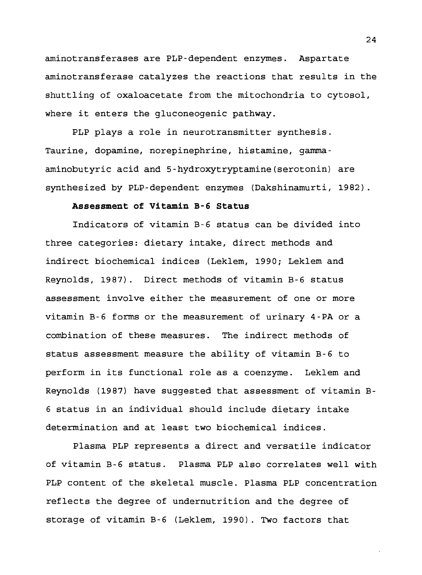aminotransferases are PLP-dependent enzymes. Aspartate aminotransferase catalyzes the reactions that results in the shuttling of oxaloacetate from the mitochondria to cytosol, where it enters the gluconeogenic pathway.

PLP plays a role in neurotransmitter synthesis. Taurine, dopamine, norepinephrine, histamine, gammaaminobutyric acid and 5-hydroxytryptamine(serotonin) are synthesized by PLP-dependent enzymes (Dakshinamurti, 1982).

# **Assessment of Vitamin B-6 Status**

Indicators of vitamin B-6 status can be divided into three categories: dietary intake, direct methods and indirect biochemical indices (Leklem, 1990; Leklem and Reynolds, 19 87). Direct methods of vitamin B-6 status assessment involve either the measurement of one or more vitamin B-6 forms or the measurement of urinary 4-PA or a combination of these measures. The indirect methods of status assessment measure the ability of vitamin B-6 to perform in its functional role as a coenzyme. Leklem and Reynolds (1987) have suggested that assessment of vitamin B-<sup>6</sup> status in an individual should include dietary intake determination and at least two biochemical indices.

Plasma PLP represents a direct and versatile indicator of vitamin B-6 status. Plasma PLP also correlates well with PLP content of the skeletal muscle. Plasma PLP concentration reflects the degree of undernutrition and the degree of storage of vitamin B-6 (Leklem, 1990). Two factors that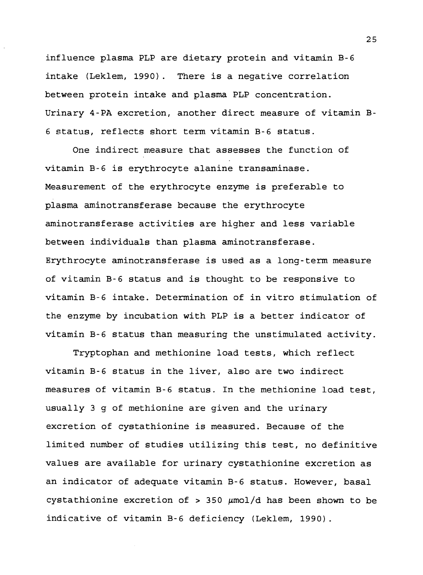influence plasma PLP are dietary protein and vitamin B-6 intake (Leklem, 1990). There is a negative correlation between protein intake and plasma PLP concentration. Urinary 4-PA excretion, another direct measure of vitamin B-<sup>6</sup> status, reflects short term vitamin B-6 status.

One indirect measure that assesses the function of vitamin B-6 is erythrocyte alanine transaminase. Measurement of the erythrocyte enzyme is preferable to plasma aminotransferase because the erythrocyte aminotransferase activities are higher and less variable between individuals than plasma aminotransferase. Erythrocyte aminotransferase is used as a long-term measure of vitamin B-6 status and is thought to be responsive to vitamin B-6 intake. Determination of in vitro stimulation of the enzyme by incubation with PLP is a better indicator of vitamin B-6 status than measuring the unstimulated activity.

Tryptophan and methionine load tests, which reflect vitamin B-6 status in the liver, also are two indirect measures of vitamin B-6 status. In the methionine load test, usually <sup>3</sup> g of methionine are given and the urinary excretion of cystathionine is measured. Because of the limited number of studies utilizing this test, no definitive values are available for urinary cystathionine excretion as an indicator of adequate vitamin B-6 status. However, basal cystathionine excretion of  $> 350 \mu$ mol/d has been shown to be indicative of vitamin B-6 deficiency (Leklem, 1990).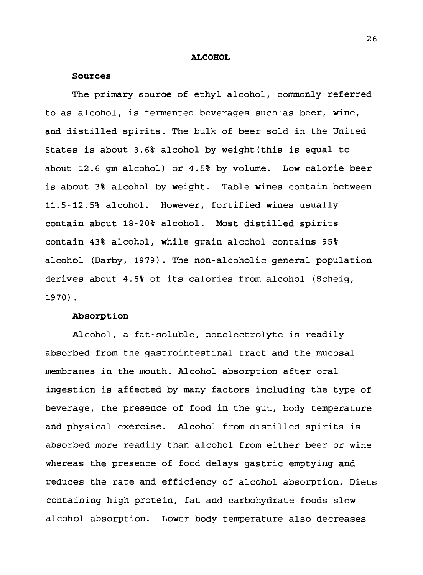#### **ALCOHOL**

#### **Sources**

The primary souroe of ethyl alcohol, commonly referred to as alcohol, is fermented beverages such as beer, wine, and distilled spirits. The bulk of beer sold in the United States is about 3.6% alcohol by weight(this is equal to about 12.6 gm alcohol) or 4.5% by volume. Low calorie beer is about 3% alcohol by weight. Table wines contain between 11.5-12.5% alcohol. However, fortified wines usually contain about 18-20% alcohol. Most distilled spirits contain 43% alcohol, while grain alcohol contains 95% alcohol (Darby, 1979). The non-alcoholic general population derives about 4.5% of its calories from alcohol (Scheig, 1970) .

### **Absorption**

Alcohol, a fat-soluble, nonelectrolyte is readily absorbed from the gastrointestinal tract and the mucosal membranes in the mouth. Alcohol absorption after oral ingestion is affected by many factors including the type of beverage, the presence of food in the gut, body temperature and physical exercise. Alcohol from distilled spirits is absorbed more readily than alcohol from either beer or wine whereas the presence of food delays gastric emptying and reduces the rate and efficiency of alcohol absorption. Diets containing high protein, fat and carbohydrate foods slow alcohol absorption. Lower body temperature also decreases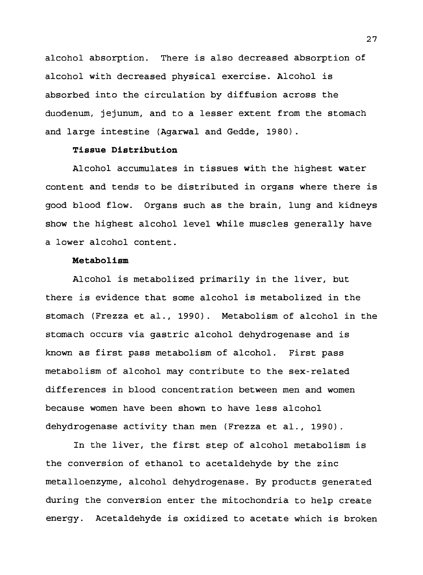alcohol absorption. There is also decreased absorption of alcohol with decreased physical exercise. Alcohol is absorbed into the circulation by diffusion across the duodenum, jejunum, and to a lesser extent from the stomach and large intestine (Agarwal and Gedde, 1980).

## **Tissue Distribution**

Alcohol accumulates in tissues with the highest water content and tends to be distributed in organs where there is good blood flow. Organs such as the brain, lung and kidneys show the highest alcohol level while muscles generally have a lower alcohol content.

## **Metabolism**

Alcohol is metabolized primarily in the liver, but there is evidence that some alcohol is metabolized in the stomach (Frezza et al., 1990). Metabolism of alcohol in the stomach occurs via gastric alcohol dehydrogenase and is known as first pass metabolism of alcohol. First pass metabolism of alcohol may contribute to the sex-related differences in blood concentration between men and women because women have been shown to have less alcohol dehydrogenase activity than men (Frezza et al., 1990).

In the liver, the first step of alcohol metabolism is the conversion of ethanol to acetaldehyde by the zinc metalloenzyme, alcohol dehydrogenase. By products generated during the conversion enter the mitochondria to help create energy. Acetaldehyde is oxidized to acetate which is broken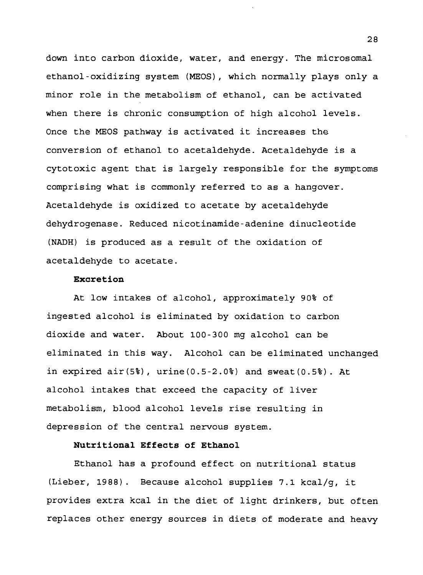down into carbon dioxide, water, and energy. The microsomal ethanol-oxidizing system (MEOS), which normally plays only a minor role in the metabolism of ethanol, can be activated when there is chronic consumption of high alcohol levels. Once the MEOS pathway is activated it increases the conversion of ethanol to acetaldehyde. Acetaldehyde is a cytotoxic agent that is largely responsible for the symptoms comprising what is commonly referred to as a hangover. Acetaldehyde is oxidized to acetate by acetaldehyde dehydrogenase. Reduced nicotinamide-adenine dinucleotide (NADH) is produced as a result of the oxidation of acetaldehyde to acetate.

## **Excretion**

At low intakes of alcohol, approximately 90% of ingested alcohol is eliminated by oxidation to carbon dioxide and water. About 100-3 00 mg alcohol can be eliminated in this way. Alcohol can be eliminated unchanged in expired  $air(5%)$ , urine $(0.5-2.0%)$  and sweat $(0.5%)$ . At alcohol intakes that exceed the capacity of liver metabolism, blood alcohol levels rise resulting in depression of the central nervous system.

## **Nutritional Effects of Ethanol**

Ethanol has a profound effect on nutritional status (Lieber, 1988). Because alcohol supplies 7.1 kcal/g, it provides extra kcal in the diet of light drinkers, but often replaces other energy sources in diets of moderate and heavy

28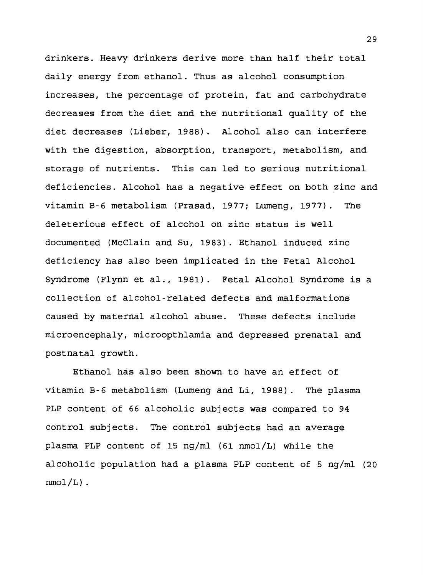drinkers. Heavy drinkers derive more than half their total daily energy from ethanol. Thus as alcohol consumption increases, the percentage of protein, fat and carbohydrate decreases from the diet and the nutritional quality of the diet decreases (Lieber, 1988). Alcohol also can interfere with the digestion, absorption, transport, metabolism, and storage of nutrients. This can led to serious nutritional deficiencies. Alcohol has a negative effect on both zinc and vitamin B-6 metabolism (Prasad, 1977; Lumeng, 1977). The deleterious effect of alcohol on zinc status is well documented (McClain and Su, 1983). Ethanol induced zinc deficiency has also been implicated in the Fetal Alcohol Syndrome (Flynn et al., 1981). Fetal Alcohol Syndrome is a collection of alcohol-related defects and malformations caused by maternal alcohol abuse. These defects include microencephaly, microopthlamia and depressed prenatal and postnatal growth.

Ethanol has also been shown to have an effect of vitamin B-6 metabolism (Lumeng and Li, 1988). The plasma PLP content of 66 alcoholic subjects was compared to 94 control subjects. The control subjects had an average plasma PLP content of 15 ng/ml (61 nmol/L) while the alcoholic population had a plasma PLP content of 5 ng/ml (20  $nmol/L$ ).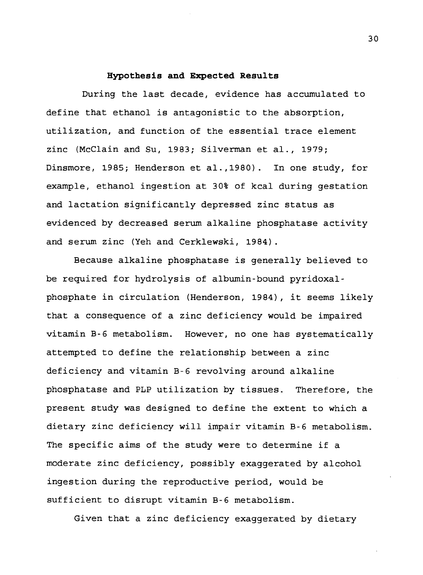#### **Hypothesis and Expected Results**

During the last decade, evidence has accumulated to define that ethanol is antagonistic to the absorption, utilization, and function of the essential trace element zinc (McClain and Su, 1983; Silverman et al., 1979; Dinsmore, 1985; Henderson et al.,1980). In one study, for example, ethanol ingestion at 30% of kcal during gestation and lactation significantly depressed zinc status as evidenced by decreased serum alkaline phosphatase activity and serum zinc (Yeh and Cerklewski, 1984).

Because alkaline phosphatase is generally believed to be required for hydrolysis of albumin-bound pyridoxalphosphate in circulation (Henderson, 1984), it seems likely that a consequence of a zinc deficiency would be impaired vitamin B-6 metabolism. However, no one has systematically attempted to define the relationship between a zinc deficiency and vitamin B-6 revolving around alkaline phosphatase and PLP utilization by tissues. Therefore, the present study was designed to define the extent to which a dietary zinc deficiency will impair vitamin B-6 metabolism. The specific aims of the study were to determine if a moderate zinc deficiency, possibly exaggerated by alcohol ingestion during the reproductive period, would be sufficient to disrupt vitamin B-6 metabolism.

Given that a zinc deficiency exaggerated by dietary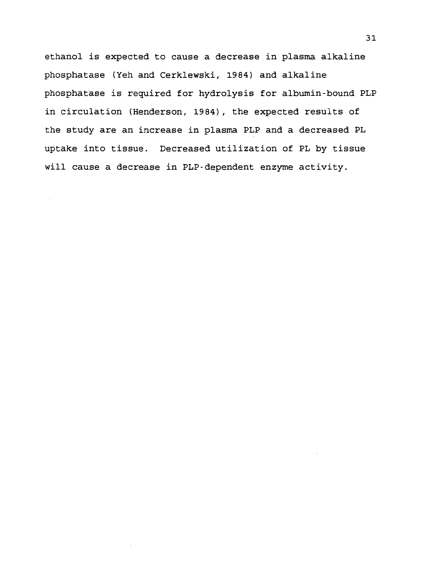ethanol is expected to cause a decrease in plasma alkaline phosphatase (Yeh and Cerklewski, 1984) and alkaline phosphatase is required for hydrolysis for albumin-bound PLP in circulation (Henderson, 1984) , the expected results of the study are an increase in plasma PLP and a decreased PL uptake into tissue. Decreased utilization of PL by tissue will cause a decrease in PLP-dependent enzyme activity.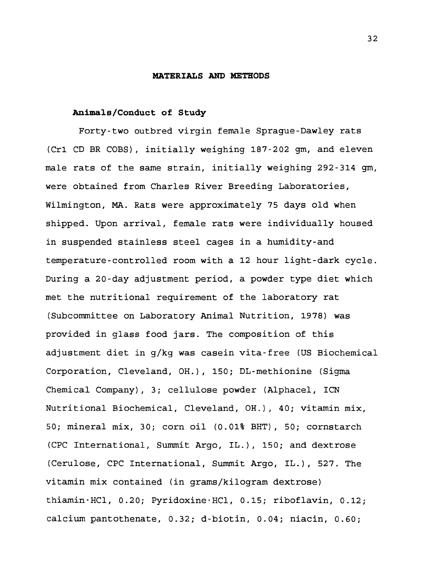#### **MATERIALS AND METHODS**

## **Animals/Conduct of Study**

Forty-two outbred virgin female Sprague-Dawley rats (Crl CD BR COBS), initially weighing 187-202 gm, and eleven male rats of the same strain, initially weighing 292-314 gm, were obtained from Charles River Breeding Laboratories, Wilmington, MA. Rats were approximately 75 days old when shipped. Upon arrival, female rats were individually housed in suspended stainless steel cages in a humidity-and temperature-controlled room with a 12 hour light-dark cycle. During a 20-day adjustment period, a powder type diet which met the nutritional requirement of the laboratory rat (Subcommittee on Laboratory Animal Nutrition, 1978) was provided in glass food jars. The composition of this adjustment diet in g/kg was casein vita-free (US Biochemical Corporation, Cleveland, OH.), 150; DL-methionine (Sigma Chemical Company), 3; cellulose powder (Alphacel, ICN Nutritional Biochemical, Cleveland, OH.), 40; vitamin mix, 50; mineral mix, 30; corn oil (0.01% BHT), 50; cornstarch (CPC International, Summit Argo, IL.), 150; and dextrose (Cerulose, CPC International, Summit Argo, IL.), 527. The vitamin mix contained (in grams/kilogram dextrose) thiamin-HCl, 0.20; Pyridoxine•HC1, 0.15; riboflavin, 0.12; calcium pantothenate, 0.32; d-biotin, 0.04; niacin, 0.60;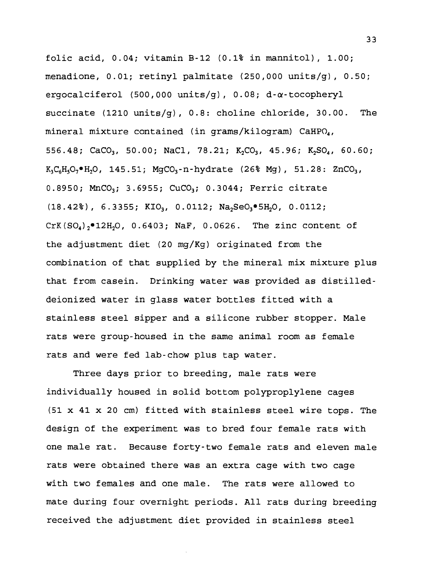folic acid, 0.04; vitamin B-12 (0.1% in mannitol), 1.00; menadione, 0.01; retinyl palmitate (250,000 units/g), 0.50; ergocalciferol (500,000 units/g), 0.08; d-a-tocopheryl succinate (1210 units/g), 0.8: choline chloride, 30.00. The mineral mixture contained (in grams/kilogram) CaHP $O_4$ , 556.48; CaCO<sub>3</sub>, 50.00; NaCl, 78.21; K<sub>2</sub>CO<sub>3</sub>, 45.96; K<sub>2</sub>SO<sub>4</sub>, 60.60;  $K_3C_6H_5O_7\bullet H_2O$ , 145.51; MgCO<sub>3</sub>-n-hydrate (26% Mg), 51.28: ZnCO<sub>3</sub>, 0.8950; MnCO<sub>3</sub>; 3.6955; CuCO<sub>3</sub>; 0.3044; Ferric citrate  $(18.42\%)$ , 6.3355; KIO<sub>3</sub>, 0.0112; Na<sub>2</sub>SeO<sub>3</sub>·5H<sub>2</sub>O, 0.0112;  $CrK(SO_4)_2$ <sup>.</sup>12H<sub>2</sub>O, 0.6403; NaF, 0.0626. The zinc content of the adjustment diet (20 mg/Kg) originated from the combination of that supplied by the mineral mix mixture plus that from casein. Drinking water was provided as distilleddeionized water in glass water bottles fitted with a stainless steel sipper and a silicone rubber stopper. Male rats were group-housed in the same animal room as female rats and were fed lab-chow plus tap water.

Three days prior to breeding, male rats were individually housed in solid bottom polyproplylene cages (51 x 41 x 20 cm) fitted with stainless steel wire tops. The design of the experiment was to bred four female rats with one male rat. Because forty-two female rats and eleven male rats were obtained there was an extra cage with two cage with two females and one male. The rats were allowed to mate during four overnight periods. All rats during breeding received the adjustment diet provided in stainless steel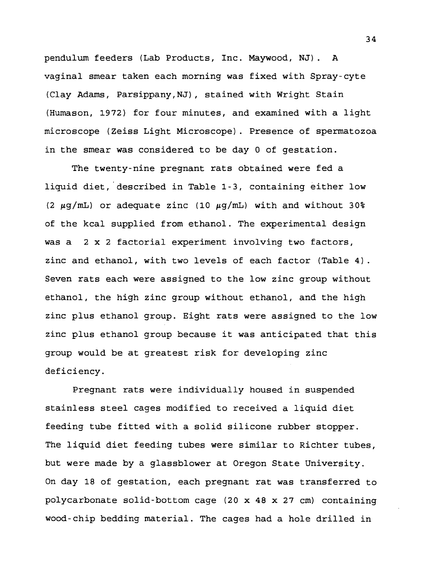pendulum feeders (Lab Products, Inc. Maywood, NJ). A vaginal smear taken each morning was fixed with Spray-cyte (Clay Adams, Parsippany,NJ), stained with Wright Stain (Humason, 1972) for four minutes, and examined with a light microscope (Zeiss Light Microscope). Presence of spermatozoa in the smear was considered to be day 0 of gestation.

The twenty-nine pregnant rats obtained were fed a liquid diet, described in Table 1-3, containing either low (2  $\mu$ g/mL) or adequate zinc (10  $\mu$ g/mL) with and without 30% of the kcal supplied from ethanol. The experimental design was a 2 x 2 factorial experiment involving two factors, zinc and ethanol, with two levels of each factor (Table 4). Seven rats each were assigned to the low zinc group without ethanol, the high zinc group without ethanol, and the high zinc plus ethanol group. Eight rats were assigned to the low zinc plus ethanol group because it was anticipated that this group would be at greatest risk for developing zinc deficiency.

Pregnant rats were individually housed in suspended stainless steel cages modified to received a liquid diet feeding tube fitted with a solid silicone rubber stopper. The liquid diet feeding tubes were similar to Richter tubes, but were made by a glassblower at Oregon State University. On day 18 of gestation, each pregnant rat was transferred to polycarbonate solid-bottom cage (20 x 48 x 27 cm) containing wood-chip bedding material. The cages had a hole drilled in

34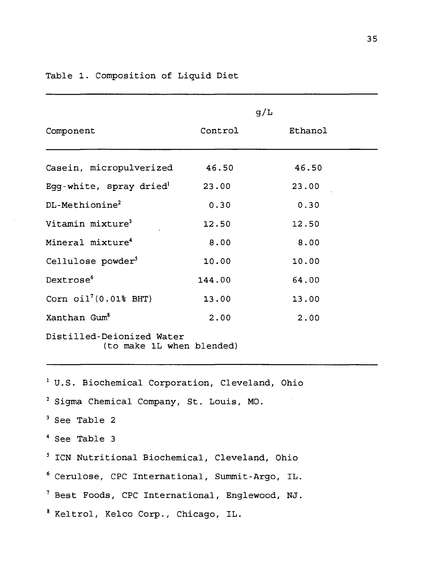|                                                        | g/L     |         |  |  |
|--------------------------------------------------------|---------|---------|--|--|
| Component                                              | Control | Ethanol |  |  |
| Casein, micropulverized                                | 46.50   | 46.50   |  |  |
| Egg-white, spray dried $d$                             | 23.00   | 23.00   |  |  |
| DL-Methionine <sup>2</sup>                             | 0.30    | 0.30    |  |  |
| Vitamin mixture <sup>3</sup>                           | 12.50   | 12.50   |  |  |
| Mineral mixture <sup>4</sup>                           | 8.00    | 8.00    |  |  |
| Cellulose powder <sup>5</sup>                          | 10.00   | 10.00   |  |  |
| Dextrose <sup>6</sup>                                  | 144.00  | 64.00   |  |  |
| Corn $\text{oil}^7(0.018$ BHT)                         | 13.00   | 13.00   |  |  |
| Xanthan Gum <sup>8</sup>                               | 2.00    | 2.00    |  |  |
| Distilled-Deionized Water<br>(to make 1L when blended) |         |         |  |  |

Table 1. Composition of Liquid Diet

 U.S. Biochemical Corporation, Cleveland, Ohio Sigma Chemical Company, St. Louis, MO. See Table 2 See Table <sup>3</sup> ICN Nutritional Biochemical, Cleveland, Ohio Cerulose, CPC International, Summit-Argo, IL. Best Foods, CPC International, Englewood, NJ. Keltrol, Kelco Corp., Chicago, IL.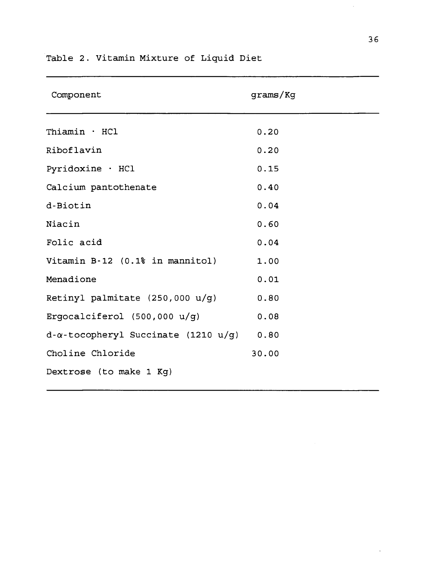| Component                                        | qrams/Kq |
|--------------------------------------------------|----------|
| Thiamin · HCl                                    | 0.20     |
| Riboflavin                                       | 0.20     |
| Pyridoxine · HCl                                 | 0.15     |
| Calcium pantothenate                             | 0.40     |
| d-Biotin                                         | 0.04     |
| Niacin                                           | 0.60     |
| Folic acid                                       | 0.04     |
| Vitamin B-12 (0.1% in mannitol)                  | 1.00     |
| Menadione                                        | 0.01     |
| Retinyl palmitate (250,000 u/g)                  | 0.80     |
| Ergocalciferol $(500,000 u/g)$                   | 0.08     |
| $d-\alpha$ -tocopheryl Succinate (1210 u/g) 0.80 |          |
| Choline Chloride                                 | 30.00    |
| Dextrose (to make 1 Kg)                          |          |

# Table 2. Vitamin Mixture of Liquid Diet

 $\bar{V}$ 

 $\bar{\bar{z}}$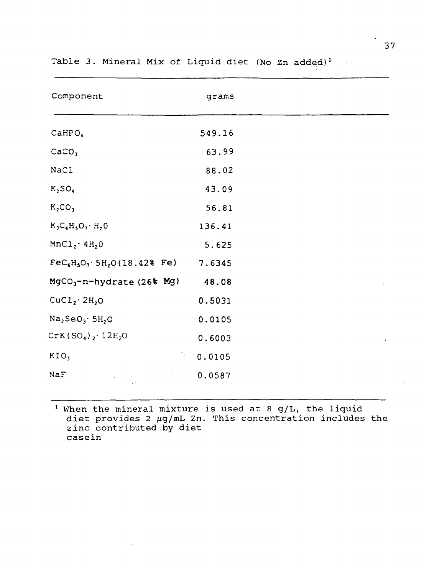| Component                                          | grams  |
|----------------------------------------------------|--------|
| CAHPO <sub>4</sub>                                 | 549.16 |
| CaCO <sub>3</sub>                                  | 63.99  |
| NaCl                                               | 88.02  |
| K <sub>2</sub> SO <sub>4</sub>                     | 43.09  |
| K <sub>2</sub> CO <sub>3</sub>                     | 56.81  |
| $K_3C_6H_5O_7 \cdot H_2O$                          | 136.41 |
| MnCl <sub>2</sub> ·4H <sub>2</sub> 0               | 5.625  |
| $\text{FeC}_6H_5O_7$ 5H <sub>2</sub> O (18.42% Fe) | 7.6345 |
| $MgCO_3$ -n-hydrate (26% Mg)                       | 48.08  |
| CuCl <sub>2</sub> ·2H <sub>2</sub> O               | 0.5031 |
| $Na2SeO3·5H2O$                                     | 0.0105 |
| $CrK(SO4)2·12H2O$                                  | 0.6003 |
| KIO <sub>3</sub>                                   | 0.0105 |
| NaF                                                | 0.0587 |

Table 3. Mineral Mix of Liquid diet (No Zn added)'  $\sim 4$ 

 $\frac{1}{1}$  When the mineral mixture is used at 8 g/L, the liquid when the mineral mixture is used at 5 g/b, the figure<br>diet provides 2  $\mu$ g/mL Zn. This concentration includes the alect provides 2 mg/mm 2.1 casein

 $\sim$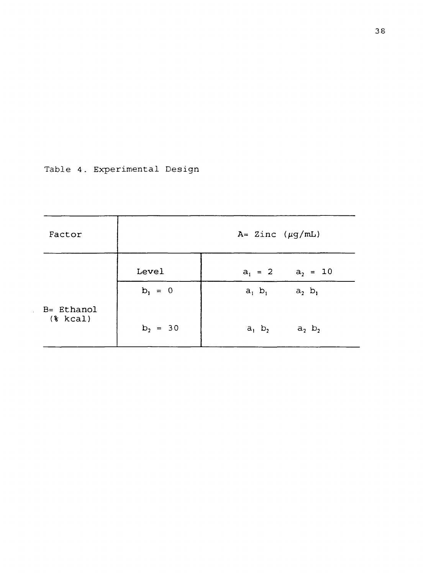Table 4. Experimental Design

 $\sim$ 

| Factor                    | $A = 2inc (\mu g/mL)$ |                              |  |  |
|---------------------------|-----------------------|------------------------------|--|--|
|                           | Level                 | $a_2 = 10$<br>$a_1 = 2$      |  |  |
|                           | $b_1 = 0$             | $a_1$ $b_1$<br>$a_2$ $b_1$   |  |  |
| B= Ethanol<br>$(*)$ kcal) | $b_2 = 30$            | $a_1$ , $b_2$<br>$a_2$ $b_2$ |  |  |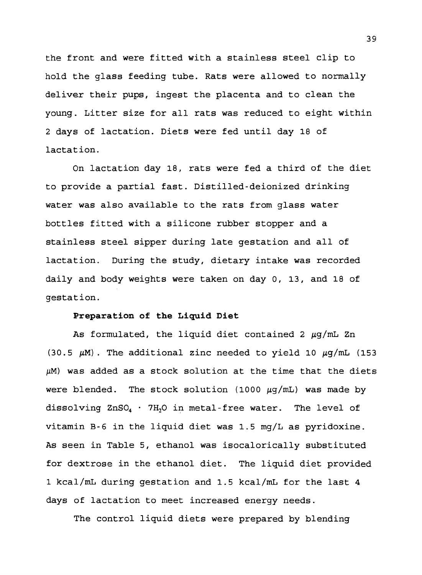the front and were fitted with a stainless steel clip to hold the glass feeding tube. Rats were allowed to normally deliver their pups, ingest the placenta and to clean the young. Litter size for all rats was reduced to eight within <sup>2</sup> days of lactation. Diets were fed until day 18 of lactation.

On lactation day 18, rats were fed a third of the diet to provide a partial fast. Distilled-deionized drinking water was also available to the rats from glass water bottles fitted with a silicone rubber stopper and a stainless steel sipper during late gestation and all of lactation. During the study, dietary intake was recorded daily and body weights were taken on day 0, 13, and 18 of gestation.

#### **Preparation of the Liquid Diet**

As formulated, the liquid diet contained 2  $\mu$ q/mL Zn (30.5  $\mu$ M). The additional zinc needed to yield 10  $\mu$ g/mL (153  $\mu$ M) was added as a stock solution at the time that the diets were blended. The stock solution (1000  $\mu$ g/mL) was made by dissolving  $ZnSO_4$  · 7H<sub>2</sub>O in metal-free water. The level of vitamin B-6 in the liquid diet was 1.5 mg/L as pyridoxine. As seen in Table 5, ethanol was isocalorically substituted for dextrose in the ethanol diet. The liquid diet provided <sup>1</sup> kcal/mL during gestation and 1.5 kcal/mL for the last 4 days of lactation to meet increased energy needs.

The control liquid diets were prepared by blending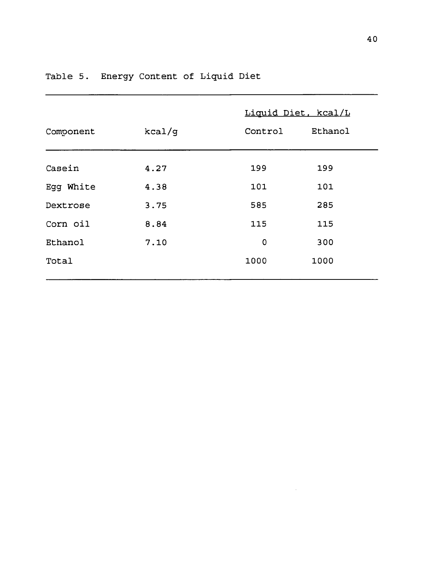|           |        | Liquid Diet, kcal/L |         |  |
|-----------|--------|---------------------|---------|--|
| Component | kcal/g | Control             | Ethanol |  |
| Casein    | 4.27   | 199                 | 199     |  |
| Egg White | 4.38   | 101                 | 101     |  |
| Dextrose  | 3.75   | 585                 | 285     |  |
| Corn oil  | 8.84   | 115                 | 115     |  |
| Ethanol   | 7.10   | 0                   | 300     |  |
| Total     |        | 1000                | 1000    |  |

 $\sim 10^{-1}$ 

## Table 5. Energy Content of Liquid Diet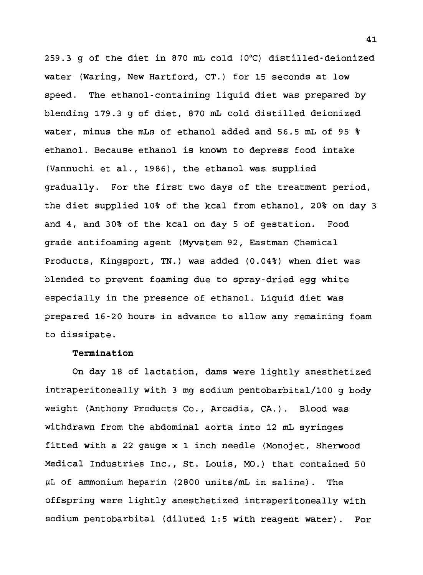259.3 g of the diet in 870 mL cold (0°C) distilled-deionized water (Waring, New Hartford, CT.) for 15 seconds at low speed. The ethanol-containing liquid diet was prepared by blending 179.3 g of diet, 870 mL cold distilled deionized water, minus the mLs of ethanol added and 56.5 mL of 95 % ethanol. Because ethanol is known to depress food intake (Vannuchi et al., 1986), the ethanol was supplied gradually. For the first two days of the treatment period, the diet supplied 10% of the kcal from ethanol, 20% on day <sup>3</sup> and 4, and 30% of the kcal on day 5 of gestation. Food grade antifoaming agent (Myvatem 92, Eastman Chemical Products, Kingsport, TN.) was added (0.04%) when diet was blended to prevent foaming due to spray-dried egg white especially in the presence of ethanol. Liquid diet was prepared 16-20 hours in advance to allow any remaining foam to dissipate.

## **Termination**

On day 18 of lactation, dams were lightly anesthetized intraperitoneally with <sup>3</sup> mg sodium pentobarbital/100 g body weight (Anthony Products Co., Arcadia, CA.). Blood was withdrawn from the abdominal aorta into 12 mL syringes fitted with a 22 gauge x 1 inch needle (Monojet, Sherwood Medical Industries Inc., St. Louis, MO.) that contained 50 *fxL* of ammonium heparin (2800 units/mL in saline) . The offspring were lightly anesthetized intraperitoneally with sodium pentobarbital (diluted 1:5 with reagent water). For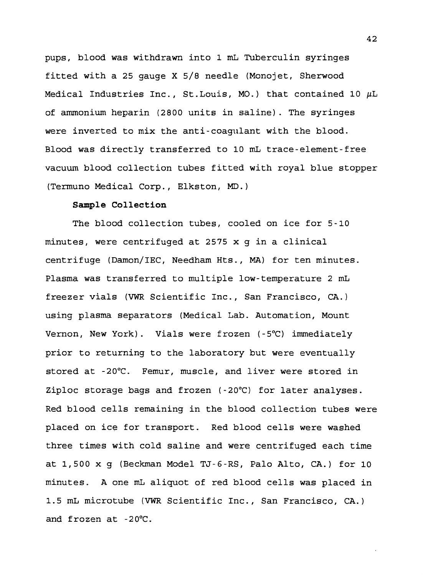pups, blood was withdrawn into 1 mL Tuberculin syringes fitted with a 25 gauge X 5/8 needle (Monojet, Sherwood Medical Industries Inc., St.Louis, MO.) that contained 10  $\mu$ L of ammonium heparin (2800 units in saline). The syringes were inverted to mix the anti-coagulant with the blood. Blood was directly transferred to 10 mL trace-element-free vacuum blood collection tubes fitted with royal blue stopper (Termuno Medical Corp., Elkston, MD.)

#### **Sample Collection**

The blood collection tubes, cooled on ice for 5-10 minutes, were centrifuged at 2575 x g in a clinical centrifuge (Damon/IEC, Needham Hts., MA) for ten minutes. Plasma was transferred to multiple low-temperature 2 mL freezer vials (VWR Scientific Inc., San Francisco, CA.) using plasma separators (Medical Lab. Automation, Mount Vernon, New York). Vials were frozen (-5°C) immediately prior to returning to the laboratory but were eventually stored at -20°C. Femur, muscle, and liver were stored in Ziploc storage bags and frozen  $(-20^{\circ}\text{C})$  for later analyses. Red blood cells remaining in the blood collection tubes were placed on ice for transport. Red blood cells were washed three times with cold saline and were centrifuged each time at 1,500 x g (Beckman Model TJ-6-RS, Palo Alto, CA.) for 10 minutes. A one mL aliquot of red blood cells was placed in 1.5 mL microtube (VWR Scientific Inc., San Francisco, CA.) and frozen at  $-20^{\circ}$ C.

42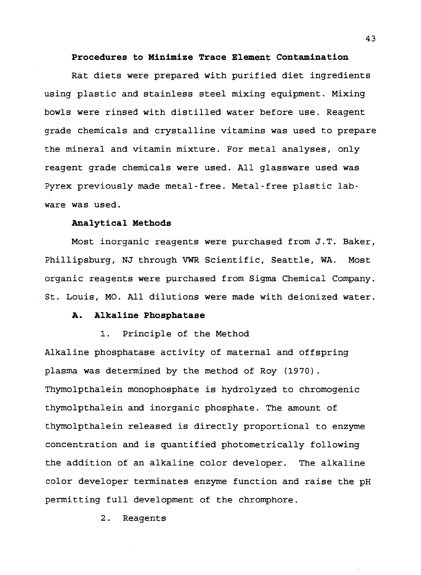#### **Procedures to Minimize Trace Element Contamination**

Rat diets were prepared with purified diet ingredients using plastic and stainless steel mixing equipment. Mixing bowls were rinsed with distilled water before use. Reagent grade chemicals and crystalline vitamins was used to prepare the mineral and vitamin mixture. For metal analyses, only reagent grade chemicals were used. All glassware used was Pyrex previously made metal-free. Metal-free plastic labware was used.

#### **Analytical Methods**

Most inorganic reagents were purchased from J.T. Baker, Phillipsburg, NJ through VWR Scientific, Seattle, WA. Most organic reagents were purchased from Sigma Chemical Company. St. Louis, MO. All dilutions were made with deionized water.

## **A. Alkaline Phosphatase**

1. Principle of the Method

Alkaline phosphatase activity of maternal and offspring plasma was determined by the method of Roy (1970). Thymolpthalein monophosphate is hydrolyzed to chromogenic thymolpthalein and inorganic phosphate. The amount of thymolpthalein released is directly proportional to enzyme concentration and is quantified photometrically following the addition of an alkaline color developer. The alkaline color developer terminates enzyme function and raise the pH permitting full development of the chromphore.

2. Reagents

**43**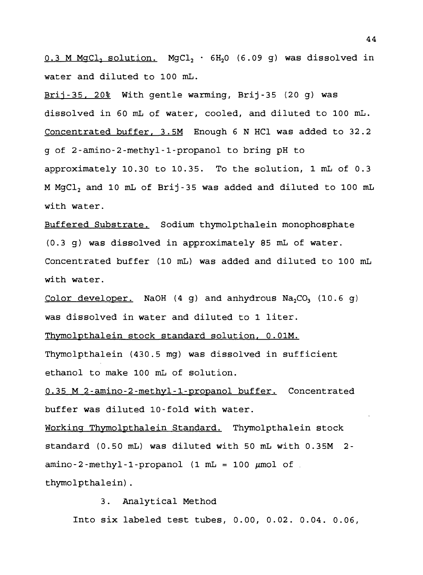$0.3$  M MgCl, solution. MgCl<sub>2</sub>  $\cdot$  6H<sub>2</sub>0 (6.09 g) was dissolved in water and diluted to 100 mL.

Brij-35, 20% With gentle warming, Brij-35 (20 g) was dissolved in 60 mL of water, cooled, and diluted to 100 mL. Concentrated buffer. 3.5M Enough 6 N HCl was added to 32.2 g of 2-amino-2-methyl-l-propanol to bring pH to approximately 10.30 to 10.35. To the solution, 1 mL of 0.3 M MgClj and 10 mL of Brij-35 was added and diluted to 100 mL with water.

Buffered Substrate. Sodium thymolpthalein monophosphate (0.3 g) was dissolved in approximately 85 mL of water. Concentrated buffer (10 mL) was added and diluted to 100 mL with water.

Color developer. NaOH  $(4 \text{ g})$  and anhydrous Na<sub>2</sub>CO<sub>3</sub>  $(10.6 \text{ g})$ was dissolved in water and diluted to 1 liter.

Thymolpthalein stock standard solution. 0.01M.

Thymolpthalein (430.5 mg) was dissolved in sufficient ethanol to make 100 mL of solution.

0.35 M 2-amino-2-methyl-l-propanol buffer. Concentrated buffer was diluted 10-fold with water.

Working Thymolpthalein Standard. Thymolpthalein stock standard (0.50 mL) was diluted with 50 mL with 0.35M 2  $amino-2-methyl-1-propanol$  (1 mL = 100  $\mu$ mol of thymolpthalein).

3. Analytical Method Into six labeled test tubes, 0.00, 0.02. 0.04. 0.06,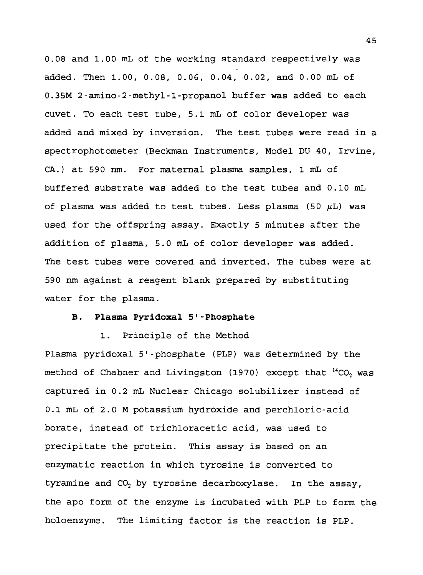0.08 and 1.00 mL of the working standard respectively was added. Then 1.00, 0.08, 0.06, 0.04, 0.02, and 0.00 mL of 0.35M 2-amino-2-methyl-l-propanol buffer was added to each cuvet. To each test tube, 5.1 mL of color developer was added and mixed by inversion. The test tubes were read in a spectrophotometer (Beckman Instruments, Model DU 40, Irvine, CA.) at 590 nm. For maternal plasma samples, 1 mL of buffered substrate was added to the test tubes and 0.10 mL of plasma was added to test tubes. Less plasma (50  $\mu$ L) was used for the offspring assay. Exactly 5 minutes after the addition of plasma, 5.0 mL of color developer was added. The test tubes were covered and inverted. The tubes were at 590 nm against a reagent blank prepared by substituting water for the plasma.

## **B. Plasma Pyridoxal 5'-Phosphate**

1. Principle of the Method Plasma pyridoxal 5'-phosphate (PLP) was determined by the method of Chabner and Livingston (1970) except that  $^{14}CO$ , was captured in 0.2 mL Nuclear Chicago solubilizer instead of 0.1 mL of 2.0 M potassium hydroxide and perchloric-acid borate, instead of trichloracetic acid, was used to precipitate the protein. This assay is based on an enzymatic reaction in which tyrosine is converted to tyramine and  $CO<sub>2</sub>$  by tyrosine decarboxylase. In the assay, the apo form of the enzyme is incubated with PLP to form the holoenzyme. The limiting factor is the reaction is PLP.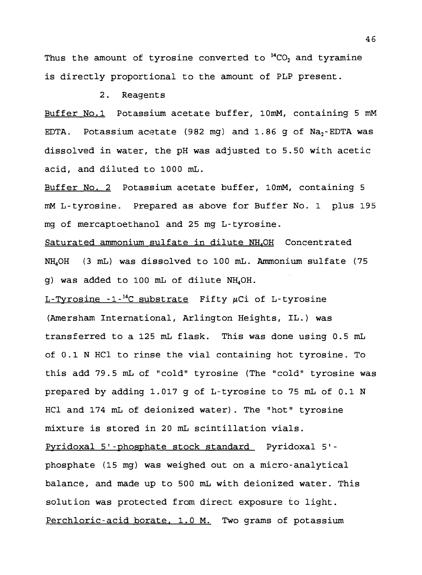Thus the amount of tyrosine converted to  $^{14}CO_2$  and tyramine is directly proportional to the amount of PLP present.

2. Reagents

Buffer No.l Potassium acetate buffer, lOmM, containing 5 mM EDTA. Potassium acetate (982 mg) and  $1.86$  g of  $Na<sub>2</sub>$ -EDTA was dissolved in water, the pH was adjusted to 5.50 with acetic acid, and diluted to 1000 mL.

Buffer No. 2 Potassium acetate buffer, lOmM, containing 5 mM L-tyrosine. Prepared as above for Buffer No. 1 plus 195 mg of mercaptoethanol and 25 mg L-tyrosine.

Saturated ammonium sulfate in dilute NH<sub>4</sub>OH Concentrated NH4OH (3 mL) was dissolved to 100 mL. Ammonium sulfate (75 g) was added to 100 mL of dilute NH4OH.

 $L-Tyrosine -1$ <sup>-14</sup>C substrate Fifty  $\mu$ Ci of L-tyrosine (Amersham International, Arlington Heights, IL.) was transferred to a 125 mL flask. This was done using 0.5 mL of 0.1 N HC1 to rinse the vial containing hot tyrosine. To this add 79.5 mL of "cold" tyrosine (The "cold" tyrosine was prepared by adding 1.017 g of L-tyrosine to 75 mL of 0.1 N HC1 and 174 mL of deionized water). The "hot" tyrosine mixture is stored in 20 mL scintillation vials.

Pyridoxal 5'-phosphate stock standard Pyridoxal 5' phosphate (15 mg) was weighed out on a micro-analytical balance, and made up to 500 mL with deionized water. This solution was protected from direct exposure to light. Perchloric-acid borate, 1.0 M. Two grams of potassium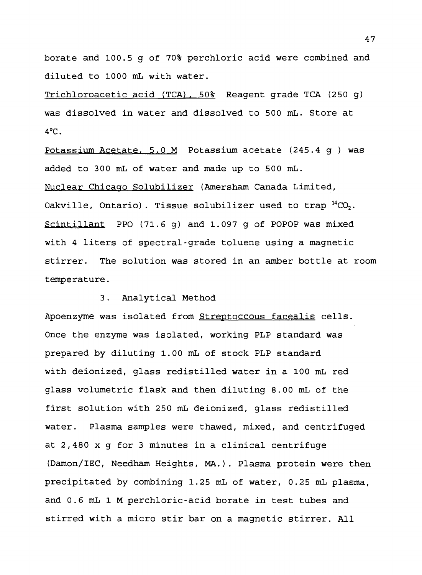borate and 100.5 g of 70% perchloric acid were combined and diluted to 1000 mL with water.

Trichloroacetic acid (TCA). 50% Reagent grade TCA (250 g) was dissolved in water and dissolved to 500 mL. Store at  $4^{\circ}$ C.

Potassium Acetate. 5.0 M Potassium acetate (245.4 g ) was added to 300 mL of water and made up to 500 mL. Nuclear Chicago Solubilizer (Amersham Canada Limited, Oakville, Ontario). Tissue solubilizer used to trap  $^{14}CO_2$ . Scintillant PPO  $(71.6 g)$  and 1.097 g of POPOP was mixed with 4 liters of spectral-grade toluene using a magnetic stirrer. The solution was stored in an amber bottle at room temperature.

## 3. Analytical Method

Apoenzyme was isolated from Streptoccous facealis cells. Once the enzyme was isolated, working PLP standard was prepared by diluting 1.00 mL of stock PLP standard with deionized, glass redistilled water in a 100 mL red glass volumetric flask and then diluting 8.00 mL of the first solution with 250 mL deionized, glass redistilled water. Plasma samples were thawed, mixed, and centrifuged at 2,480 x g for 3 minutes in a clinical centrifuge (Damon/IEC, Needham Heights, MA.). Plasma protein were then precipitated by combining 1.25 mL of water, 0.25 mL plasma, and 0.6 mL <sup>1</sup> M perchloric-acid borate in test tubes and stirred with a micro stir bar on a magnetic stirrer. All

47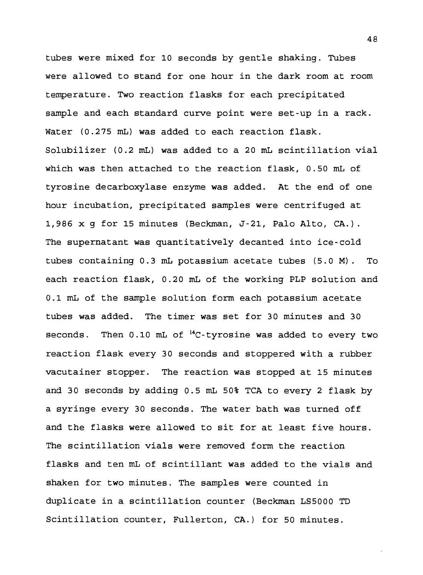tubes were mixed for 10 seconds by gentle shaking. Tubes were allowed to stand for one hour in the dark room at room temperature. Two reaction flasks for each precipitated sample and each standard curve point were set-up in a rack. Water (0.275 mL) was added to each reaction flask. Solubilizer (0.2 mL) was added to a 20 mL scintillation vial which was then attached to the reaction flask, 0.50 mL of tyrosine decarboxylase enzyme was added. At the end of one hour incubation, precipitated samples were centrifuged at 1,986 x g for 15 minutes (Beckman, J-21, Palo Alto, CA.). The supernatant was quantitatively decanted into ice-cold tubes containing 0.3 mL potassium acetate tubes (5.0 M). To each reaction flask, 0.20 mL of the working PLP solution and 0.1 mL of the sample solution form each potassium acetate tubes was added. The timer was set for 30 minutes and 30 seconds. Then  $0.10$  mL of  $^{14}$ C-tyrosine was added to every two reaction flask every 30 seconds and stoppered with a rubber vacutainer stopper. The reaction was stopped at 15 minutes and 30 seconds by adding 0.5 mL 50% TCA to every 2 flask by a syringe every 30 seconds. The water bath was turned off and the flasks were allowed to sit for at least five hours. The scintillation vials were removed form the reaction flasks and ten mL of scintillant was added to the vials and shaken for two minutes. The samples were counted in duplicate in a scintillation counter (Beckman LS5000 TD Scintillation counter, Fullerton, CA.) for 50 minutes.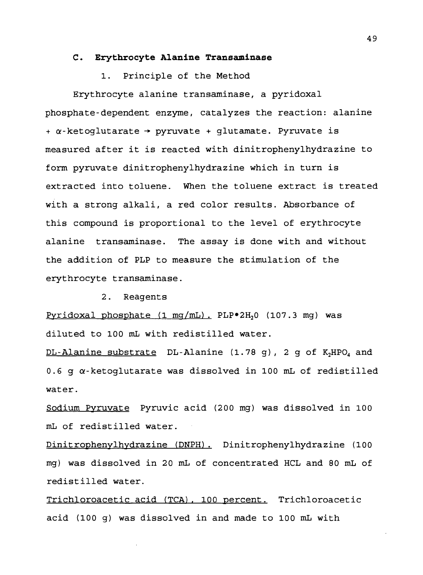#### **C. Erythrocyte Alanine Transaminase**

## 1. Principle of the Method

Erythrocyte alanine transaminase, a pyridoxal phosphate-dependent enzyme, catalyzes the reaction: alanine  $+ \alpha$ -ketoglutarate  $\rightarrow$  pyruvate + glutamate. Pyruvate is measured after it is reacted with dinitrophenylhydrazine to form pyruvate dinitrophenylhydrazine which in turn is extracted into toluene. When the toluene extract is treated with a strong alkali, a red color results. Absorbance of this compound is proportional to the level of erythrocyte alanine transaminase. The assay is done with and without the addition of PLP to measure the stimulation of the erythrocyte transaminase.

2. Reagents

Pyridoxal phosphate  $(1 \text{ mg/mL})$ . PLP $\degree$ 2H<sub>2</sub>O  $(107.3 \text{ mg})$  was diluted to 100 mL with redistilled water.

 $DL-Alanine substance$   $DL-Alanine$   $(1.78 g)$ , 2 g of  $K<sub>2</sub>HPO<sub>4</sub>$  and 0.6 g a-ketoglutarate was dissolved in 100 mL of redistilled water.

Sodium Pyruvate Pyruvic acid (200 mg) was dissolved in 100 mL of redistilled water.

Dinitrophenylhydrazine (DNPH). Dinitrophenylhydrazine (100 mg) was dissolved in 20 mL of concentrated HCL and 80 mL of redistilled water.

Trichloroacetic acid (TCA). 100 percent. Trichloroacetic acid (100 g) was dissolved in and made to 100 mL with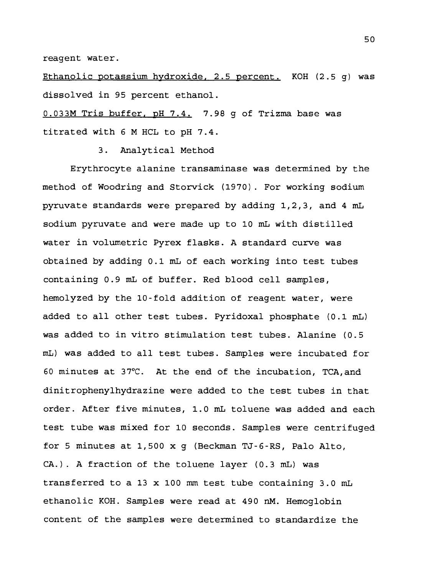reagent water.

Ethanolic potassium hydroxide. 2.5 percent. KOH (2.5 g) was dissolved in 95 percent ethanol.

0.033M Tris buffer, pH 7.4. 7.98 g of Trizma base was titrated with <sup>6</sup> M HCL to pH 7.4.

3. Analytical Method

Erythrocyte alanine transaminase was determined by the method of Woodring and Storvick (1970). For working sodium pyruvate standards were prepared by adding 1,2,3, and 4 mL sodium pyruvate and were made up to 10 mL with distilled water in volumetric Pyrex flasks. A standard curve was obtained by adding 0.1 mL of each working into test tubes containing 0.9 mL of buffer. Red blood cell samples, hemolyzed by the 10-fold addition of reagent water, were added to all other test tubes. Pyridoxal phosphate (0.1 mL) was added to in vitro stimulation test tubes. Alanine (0.5 mL) was added to all test tubes. Samples were incubated for 60 minutes at  $37^{\circ}$ C. At the end of the incubation, TCA, and dinitrophenylhydrazine were added to the test tubes in that order. After five minutes, 1.0 mL toluene was added and each test tube was mixed for 10 seconds. Samples were centrifuged for 5 minutes at 1,500 x g (Beckman TJ-6-RS, Palo Alto, CA.) . A fraction of the toluene layer (0.3 mL) was transferred to a 13 x 100 mm test tube containing 3.0 mL ethanolic KOH. Samples were read at 490 nM. Hemoglobin content of the samples were determined to standardize the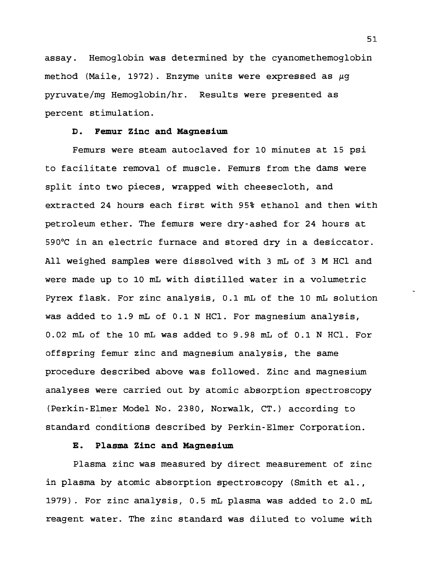assay. Hemoglobin was determined by the cyanomethemoglobin method (Maile, 1972) . Enzyme units were expressed as *fig* pyruvate/mg Hemoglobin/hr. Results were presented as percent stimulation.

#### **D. Femur Zinc and Magnesium**

Femurs were steam autoclaved for 10 minutes at 15 psi to facilitate removal of muscle. Femurs from the dams were split into two pieces, wrapped with cheesecloth, and extracted 24 hours each first with 95% ethanol and then with petroleum ether. The femurs were dry-ashed for 24 hours at 590°C in an electric furnace and stored dry in a desiccator. All weighed samples were dissolved with <sup>3</sup> mL of <sup>3</sup> M HCl and were made up to 10 mL with distilled water in a volumetric Pyrex flask. For zinc analysis, 0.1 mL of the 10 mL solution was added to 1.9 mL of 0.1 N HCl. For magnesium analysis, 0.02 mL of the 10 mL was added to 9.98 mL of 0.1 N HCl. For offspring femur zinc and magnesium analysis, the same procedure described above was followed. Zinc and magnesium analyses were carried out by atomic absorption spectroscopy (Perkin-Elmer Model No. 2380, Norwalk, CT.) according to standard conditions described by Perkin-Elmer Corporation.

#### **E. Plasma Zinc and Magnesium**

Plasma zinc was measured by direct measurement of zinc in plasma by atomic absorption spectroscopy (Smith et al., 1979). For zinc analysis, 0.5 mL plasma was added to 2.0 mL reagent water. The zinc standard was diluted to volume with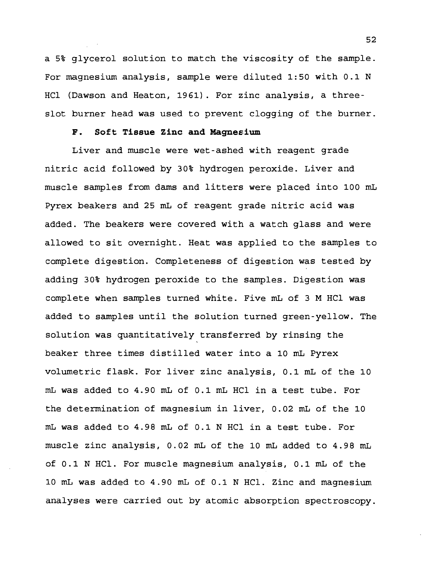a 5% glycerol solution to match the viscosity of the sample. For magnesium analysis, sample were diluted 1:50 with 0.1 N HC1 (Dawson and Heaton, 1961). For zinc analysis, a threeslot burner head was used to prevent clogging of the burner.

## **F. Soft Tissue Zinc and Magnesium**

Liver and muscle were wet-ashed with reagent grade nitric acid followed by 30% hydrogen peroxide. Liver and muscle samples from dams and litters were placed into 100 mL Pyrex beakers and 25 mL of reagent grade nitric acid was added. The beakers were covered with a watch glass and were allowed to sit overnight. Heat was applied to the samples to complete digestion. Completeness of digestion was tested by adding 30% hydrogen peroxide to the samples. Digestion was complete when samples turned white. Five mL of <sup>3</sup> M HC1 was added to samples until the solution turned green-yellow. The solution was quantitatively transferred by rinsing the beaker three times distilled water into a 10 mL Pyrex volumetric flask. For liver zinc analysis, 0.1 mL of the 10 mL was added to 4.90 mL of 0.1 mL HC1 in a test tube. For the determination of magnesium in liver, 0.02 mL of the 10 mL was added to 4.98 mL of 0.1 N HC1 in a test tube. For muscle zinc analysis, 0.02 mL of the 10 mL added to 4.9 <sup>8</sup> mL of 0.1 N HC1. For muscle magnesium analysis, 0.1 mL of the 10 mL was added to 4.90 mL of 0.1 N HC1. Zinc and magnesium analyses were carried out by atomic absorption spectroscopy.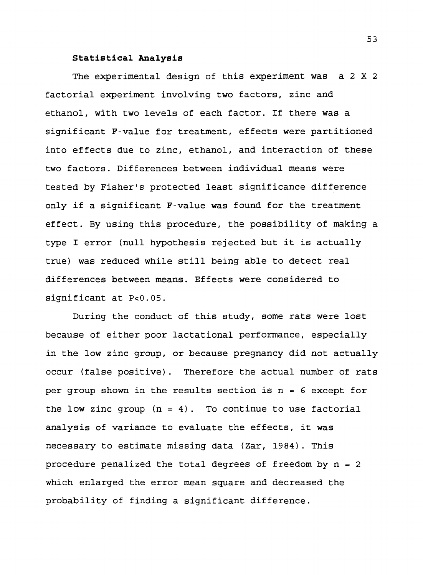## **Statistical Analysis**

The experimental design of this experiment was a 2 X 2 factorial experiment involving two factors, zinc and ethanol, with two levels of each factor. If there was a significant F-value for treatment, effects were partitioned into effects due to zinc, ethanol, and interaction of these two factors. Differences between individual means were tested by Fisher's protected least significance difference only if a significant F-value was found for the treatment effect. By using this procedure, the possibility of making a type I error (null hypothesis rejected but it is actually true) was reduced while still being able to detect real differences between means. Effects were considered to significant at P<0.05.

During the conduct of this study, some rats were lost because of either poor lactational performance, especially in the low zinc group, or because pregnancy did not actually occur (false positive). Therefore the actual number of rats per group shown in the results section is  $n = 6$  except for the low zinc group  $(n = 4)$ . To continue to use factorial analysis of variance to evaluate the effects, it was necessary to estimate missing data (Zar, 1984). This procedure penalized the total degrees of freedom by  $n = 2$ which enlarged the error mean square and decreased the probability of finding a significant difference.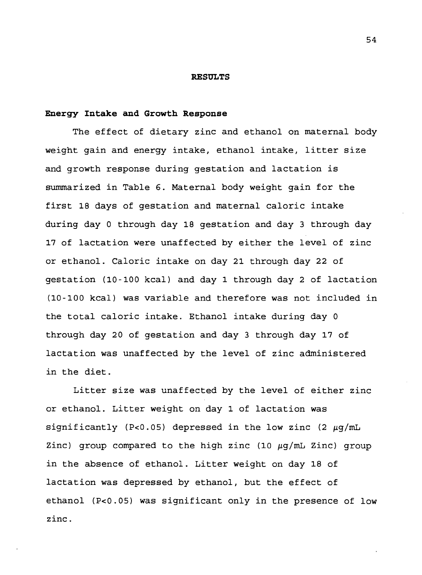#### **RESULTS**

#### **Energy Intake and Growth Response**

The effect of dietary zinc and ethanol on maternal body weight gain and energy intake, ethanol intake, litter size and growth response during gestation and lactation is summarized in Table 6. Maternal body weight gain for the first 18 days of gestation and maternal caloric intake during day 0 through day 18 gestation and day 3 through day 17 of lactation were unaffected by either the level of zinc or ethanol. Caloric intake on day 21 through day 22 of gestation (10-100 kcal) and day 1 through day 2 of lactation (10-100 kcal) was variable and therefore was not included in the total caloric intake. Ethanol intake during day <sup>0</sup> through day 20 of gestation and day <sup>3</sup> through day 17 of lactation was unaffected by the level of zinc administered in the diet.

Litter size was unaffected by the level of either zinc or ethanol. Litter weight on day 1 of lactation was significantly (P<0.05) depressed in the low zinc (2  $\mu$ q/mL Zinc) group compared to the high zinc (10  $\mu$ g/mL Zinc) group in the absence of ethanol. Litter weight on day 18 of lactation was depressed by ethanol, but the effect of ethanol (P<0.05) was significant only in the presence of low zinc.

**54**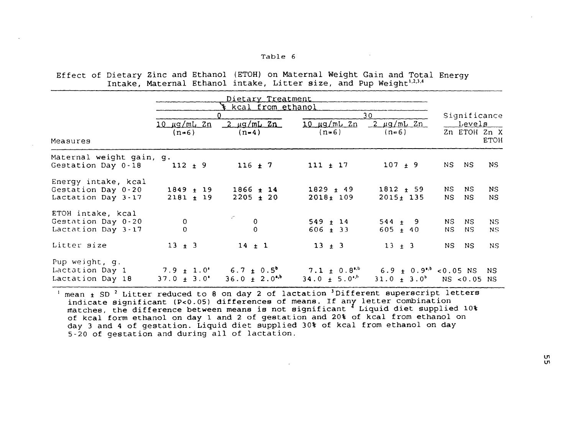#### Table <sup>6</sup>

Effect of Dietary Zinc and Ethanol (ETOH) on Maternal Weight Gain and Total Energy Intake, Maternal Ethanol intake, Litter size, and Pup Weight<sup>1,2,3,4</sup>

|                                                                 | Dietary Treatment<br>kcal from ethanol |                                                                          |                               |                                                                    |                                        |
|-----------------------------------------------------------------|----------------------------------------|--------------------------------------------------------------------------|-------------------------------|--------------------------------------------------------------------|----------------------------------------|
|                                                                 |                                        |                                                                          |                               | 30                                                                 | Significance                           |
|                                                                 | <u>10 μg/mL Zn</u>                     | $2 \mu q/mL 2n$                                                          | 10 µg/mL 2n                   | $2 \mu g/mL Zn$                                                    | Levels ___                             |
|                                                                 | $(n=6)$                                | $(n=4)$                                                                  | $(n=6)$                       | $(n=6)$                                                            | Zn ETOH Zn X                           |
| Measures                                                        |                                        |                                                                          |                               |                                                                    | <b>ETOH</b>                            |
| Maternal weight gain, g.<br>Gestation Day 0-18                  | $112 \pm 9$                            | $116 \pm 7$                                                              | $111 \pm 17$                  | $107 \pm 9$                                                        | NS<br>NS.<br>NS.                       |
| Energy intake, kcal<br>Gestation Day 0-20<br>Lactation Day 3-17 | $1849 \pm 19$<br>$2181 + 19$           | $1866 \pm 14$<br>$2205 + 20$                                             | $1829 \pm 49$<br>$2018 + 109$ | $1812 + 59$<br>$2015 + 135$                                        | NS.<br>NS.<br>NS.<br>NS.<br>NS.<br>NS. |
| ETOH intake, kcal<br>Gestation Day 0-20<br>Lactation Day 3-17   | 0<br>$\Omega$                          |                                                                          | $549 \pm 14$<br>$606 + 33$    | $544 + 9$<br>$605 + 40$                                            | NS.<br>NS.<br>NS.<br>NS.<br>N.S<br>NS. |
| Litter size                                                     | $13 + 3$                               | $14 + 1$                                                                 | $13 \pm 3$                    | $13 + 3$                                                           | NS.<br>NS.<br>NS.                      |
| Pup weight, g.<br>Lactation Day 1<br>Lactation Day 18           | $37.0 \pm 3.0$                         | $7.9 \pm 1.0^{\circ}$ 6.7 $\pm$ 0.5 <sup>6</sup><br>$36.0 \pm 2.0^{4,b}$ | $34.0 \pm 5.0$ <sup>*</sup>   | 7.1 $\pm$ 0.8 <sup>t,b</sup> 6.9 $\pm$ 0.9 <sup>t,b</sup> <0.05 NS | NS.<br>$31.0 \pm 3.0^b$ NS <0.05 NS    |

<sup>1</sup> mean  $\pm$  SD<sup>2</sup> Litter reduced to 8 on day 2 of lactation <sup>3</sup> Different superscript letters indicate significant (P<0.05) differences of means. If any letter combination matches, the difference between means is not significant \* Liquid diet supplied 10% of kcal form ethanol on day 1 and 2 of gestation and 20% of kcal from ethanol on day <sup>3</sup> and 4 of gestation. Liquid diet supplied 30% of kcal from ethanol on day 5-20 of gestation and during all of lactation.

in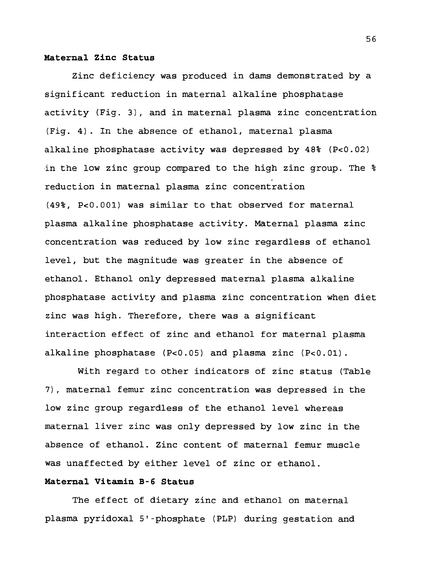#### **Maternal Zinc Status**

Zinc deficiency was produced in dams demonstrated by a significant reduction in maternal alkaline phosphatase activity (Fig. 3), and in maternal plasma zinc concentration (Fig. 4). In the absence of ethanol, maternal plasma alkaline phosphatase activity was depressed by 48% (P<0.02) in the low zinc group compared to the high zinc group. The % reduction in maternal plasma zinc concentration (49%, P<0.001) was similar to that observed for maternal plasma alkaline phosphatase activity. Maternal plasma zinc concentration was reduced by low zinc regardless of ethanol level, but the magnitude was greater in the absence of ethanol. Ethanol only depressed maternal plasma alkaline phosphatase activity and plasma zinc concentration when diet zinc was high. Therefore, there was a significant interaction effect of zinc and ethanol for maternal plasma alkaline phosphatase (P<0.05) and plasma zinc (P<0.01).

With regard to other indicators of zinc status (Table 7), maternal femur zinc concentration was depressed in the low zinc group regardless of the ethanol level whereas maternal liver zinc was only depressed by low zinc in the absence of ethanol. Zinc content of maternal femur muscle was unaffected by either level of zinc or ethanol.

## **Maternal Vitamin B-6 Status**

The effect of dietary zinc and ethanol on maternal plasma pyridoxal 5'-phosphate (PLP) during gestation and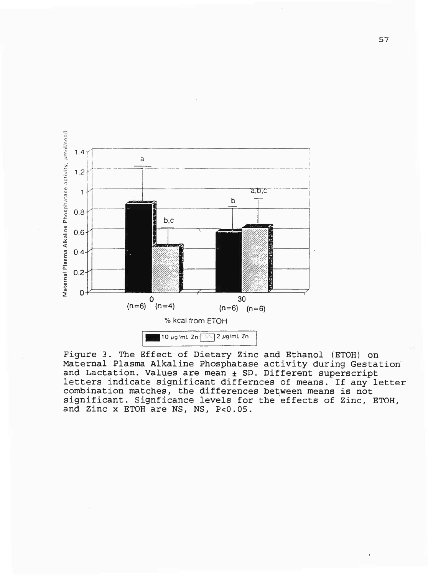

Figure 3. The Effect of Dietary Zinc and Ethanol (ETOH) on Maternal Plasma Alkaline Phosphatase activity during Gestation and Lactation. Values are mean  $\pm$  SD. Different superscript letters indicate significant differnces of means. If any letter combination matches, the differences between means is not significant. Signficance levels for the effects of Zinc, ETOH, and Zinc x ETOH are NS, NS, P<0.05.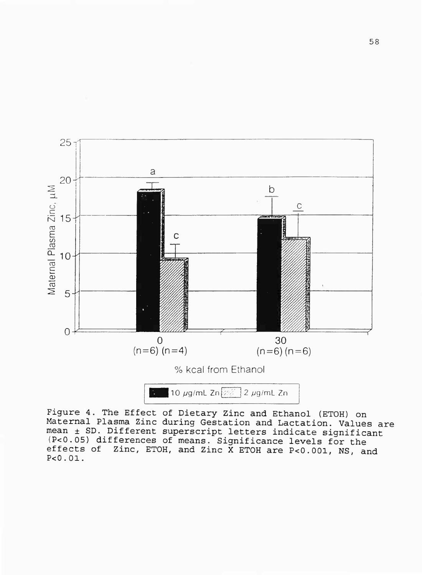

Figure 4. The Effect of Dietary Zinc and Ethanol (ETOH) on Maternal Plasma Zinc during Gestation and Lactation. Values are mean ± SD. Different superscript letters indicate significant  $(P<0.05)$  differences of means. Significance levels for the effects of Zinc, ETOH, and Zinc X ETOH are P<0.001. NS Zinc, ETOH, and Zinc  $\bar{X}$  ETOH are P<0.001, NS, and P<0.01.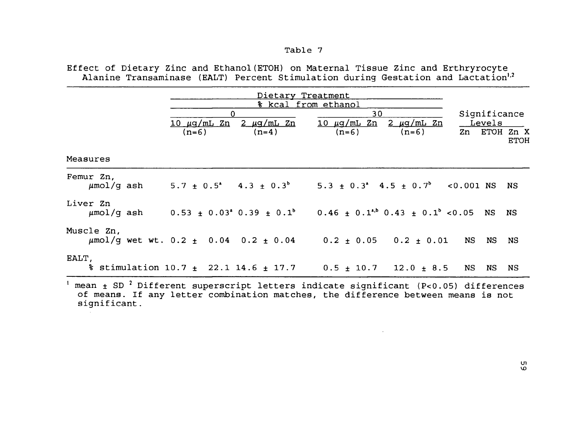## Table 7

Effect of Dietary Zinc and Ethanol(ETOH) on Maternal Tissue Zinc and Erthryrocyte Alanine Transaminase (EALT) Percent Stimulation during Gestation and Lactation<sup>1,2</sup>

|            | $\mathbf 0$<br>$(n=6)$ | <u>10 μg/mL Zn 2 μg/mL Zn</u><br>$(n=4)$ | Dietary Treatment<br>% kcal from ethanol<br>30<br><u>10 μq/mL Zn 2 μq/mL Zn</u><br>$(n=6)$<br>$(n=6)$                          | Significance<br><u>Levels</u><br>Zn ETOH Zn X<br><b>ETOH</b> |
|------------|------------------------|------------------------------------------|--------------------------------------------------------------------------------------------------------------------------------|--------------------------------------------------------------|
| Measures   |                        |                                          |                                                                                                                                |                                                              |
| Femur Zn,  |                        |                                          | $\mu$ mol/q ash 5.7 ± 0.5 <sup>*</sup> 4.3 ± 0.3 <sup>b</sup> 5.3 ± 0.3 <sup>*</sup> 4.5 ± 0.7 <sup>b</sup> <0.001 NS NS       |                                                              |
| Liver Zn   |                        |                                          | $\mu$ mol/q ash 0.53 ± 0.03 <sup>a</sup> 0.39 ± 0.1 <sup>b</sup> 0.46 ± 0.1 <sup>a,b</sup> 0.43 ± 0.1 <sup>b</sup> <0.05 NS NS |                                                              |
| Muscle Zn, |                        |                                          | $\mu$ mol/g wet wt. 0.2 ± 0.04 0.2 ± 0.04 0.2 ± 0.05 0.2 ± 0.01 NS NS NS                                                       |                                                              |
| EALT,      |                        |                                          | $\frac{1}{2}$ stimulation 10.7 $\pm$ 22.1 14.6 $\pm$ 17.7 0.5 $\pm$ 10.7 12.0 $\pm$ 8.5 NS                                     | NS NS                                                        |
|            |                        |                                          | $\frac{1}{2}$ mean + SD <sup>2</sup> Different superscript letters indicate significant (P<0.05) differences                   |                                                              |

mean  $\pm$  SD  $^2$  Different superscript letters indicate significant (P<0.05) differences of means. If any letter combination matches, the difference between means is not significant.

 $\sim$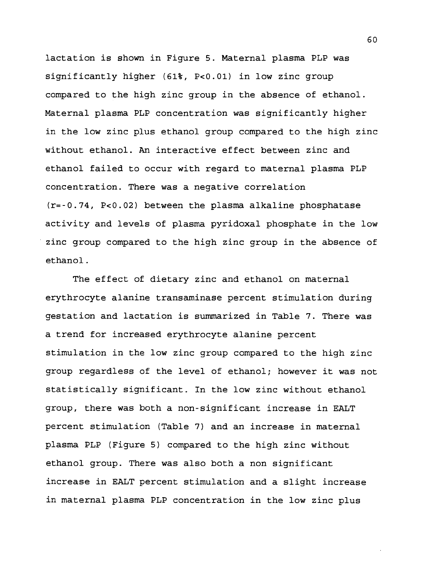lactation is shown in Figure 5. Maternal plasma PLP was significantly higher (61%, P<0.01) in low zinc group compared to the high zinc group in the absence of ethanol. Maternal plasma PLP concentration was significantly higher in the low zinc plus ethanol group compared to the high zinc without ethanol. An interactive effect between zinc and ethanol failed to occur with regard to maternal plasma PLP concentration. There was a negative correlation (r=-0.74/ P<0.02) between the plasma alkaline phosphatase activity and levels of plasma pyridoxal phosphate in the low zinc group compared to the high zinc group in the absence of ethanol.

The effect of dietary zinc and ethanol on maternal erythrocyte alanine transaminase percent stimulation during gestation and lactation is summarized in Table 7. There was a trend for increased erythrocyte alanine percent stimulation in the low zinc group compared to the high zinc group regardless of the level of ethanol; however it was not statistically significant. In the low zinc without ethanol group, there was both a non-significant increase in EALT percent stimulation (Table 7) and an increase in maternal plasma PLP (Figure 5) compared to the high zinc without ethanol group. There was also both a non significant increase in EALT percent stimulation and a slight increase in maternal plasma PLP concentration in the low zinc plus

60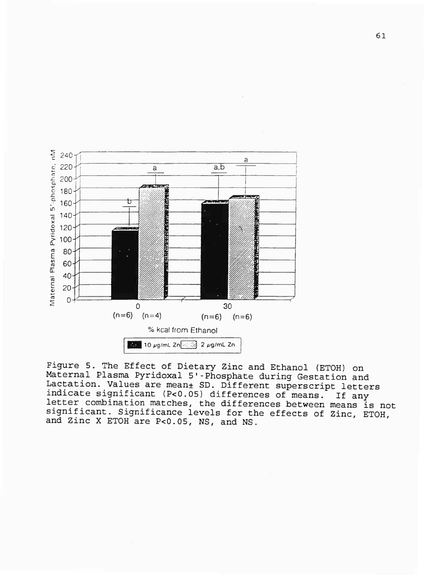

Figure 5. The Effect of Dietary Zinc and Ethanol (ETOH) on Maternal Plasma Pyridoxal 5'-Phosphate during Gestation and Lactation. Values are meant SD. Different superscript letters indicate significant (P<0.05) differences of means. If any letter combination matches, the differences between means is not significant. Significance levels for the effects of Zinc, ETOH and Zinc X ETOH are P<0.05, NS, and NS.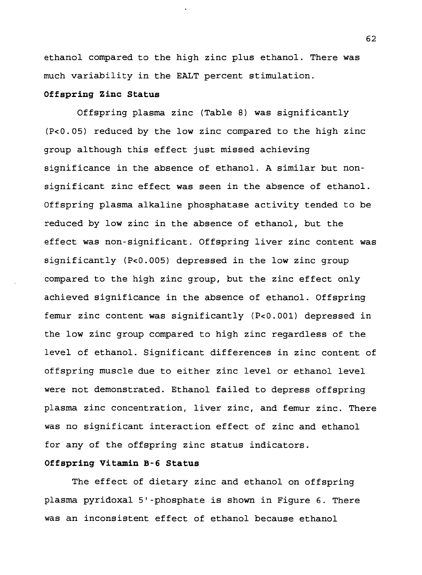ethanol compared to the high zinc plus ethanol. There was much variability in the EALT percent stimulation.

## **Offspring Zinc Status**

Offspring plasma zinc (Table 8) was significantly (P<0.05) reduced by the low zinc compared to the high zinc group although this effect just missed achieving significance in the absence of ethanol. A similar but nonsignificant zinc effect was seen in the absence of ethanol. Offspring plasma alkaline phosphatase activity tended to be reduced by low zinc in the absence of ethanol, but the effect was non-significant. Offspring liver zinc content was significantly (P<0.005) depressed in the low zinc group compared to the high zinc group, but the zinc effect only achieved significance in the absence of ethanol. Offspring femur zinc content was significantly (P<0.001) depressed in the low zinc group compared to high zinc regardless of the level of ethanol. Significant differences in zinc content of offspring muscle due to either zinc level or ethanol level were not demonstrated. Ethanol failed to depress offspring plasma zinc concentration, liver zinc, and femur zinc. There was no significant interaction effect of zinc and ethanol for any of the offspring zinc status indicators.

## **Offspring Vitamin B-6 Status**

The effect of dietary zinc and ethanol on offspring plasma pyridoxal 5'-phosphate is shown in Figure 6. There was an inconsistent effect of ethanol because ethanol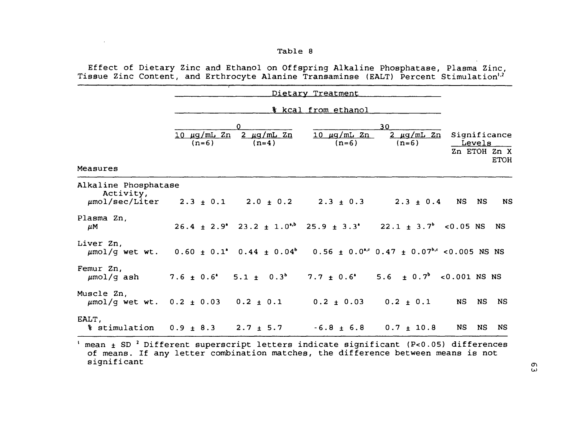## Table <sup>8</sup>

 $\mathcal{L}(\mathcal{L}(\mathcal{L}))$  and  $\mathcal{L}(\mathcal{L}(\mathcal{L}))$  . The contribution of  $\mathcal{L}(\mathcal{L})$ 

Effect of Dietary Zinc and Ethanol on Offspring Alkaline Phosphatase, Plasma Zinc, Tissue Zinc Content, and Erthrocyte Alanine Transaminse (EALT) Percent Stimulation<sup>1,2</sup>

| Measures                                                                                                                                                                                             | 10 µg/mL Zn<br>$(n=6)$ | n<br>$2 \mu q/mL Zn$<br>$(n=4)$ | $10 \mu q/mL$ $2n$<br>$(n=6)$                                                                         | 30<br>$2 \mu q/mL$ $2n$<br>$(n=6)$      | Significance | Levels<br>Zn ETOH Zn X | <b>ETOH</b> |
|------------------------------------------------------------------------------------------------------------------------------------------------------------------------------------------------------|------------------------|---------------------------------|-------------------------------------------------------------------------------------------------------|-----------------------------------------|--------------|------------------------|-------------|
| Alkaline Phosphatase<br>Activity,<br>$\mu$ mol/sec/Liter 2.3 ± 0.1 2.0 ± 0.2 2.3 ± 0.3 2.3 ± 0.4 NS                                                                                                  |                        |                                 |                                                                                                       |                                         |              | <b>NS</b>              | <b>NS</b>   |
| Plasma Zn.<br>$\mu$ M                                                                                                                                                                                |                        |                                 | $26.4 \pm 2.9^{\circ}$ $23.2 \pm 1.0^{\circ}$ $25.9 \pm 3.3^{\circ}$ $22.1 \pm 3.7^{\circ}$ < 0.05 NS |                                         |              | <b>NS</b>              |             |
| Liver Zn,<br>$\mu$ mol/g wet wt. 0.60 ± 0.1° 0.44 ± 0.04° 0.56 ± 0.0 <sup>4</sup> <sup>c</sup> 0.47 ± 0.07 <sup>bc</sup> <0.005 NS NS                                                                |                        |                                 |                                                                                                       |                                         |              |                        |             |
| Femur Zn,<br>$\mu$ mol/q ash                                                                                                                                                                         |                        |                                 | $7.6 \pm 0.6^{\circ}$ 5.1 $\pm$ 0.3 <sup>b</sup> 7.7 $\pm$ 0.6 <sup>o</sup>                           | 5.6 $\pm$ 0.7 <sup>b</sup> <0.001 NS NS |              |                        |             |
| Muscle Zn.<br>$\mu$ mol/g wet wt. 0.2 ± 0.03 0.2 ± 0.1 0.2 ± 0.03 0.2 ± 0.1 NS                                                                                                                       |                        |                                 |                                                                                                       |                                         |              | NS.                    | NS.         |
| EALT,<br>$\frac{1}{2}$ stimulation 0.9 $\pm$ 8.3 2.7 $\pm$ 5.7 -6.8 $\pm$ 6.8 0.7 $\pm$ 10.8                                                                                                         |                        |                                 |                                                                                                       |                                         | NS           | NS.                    | NS.         |
| $\frac{1}{2}$ mean $\pm$ SD <sup>2</sup> Different superscript letters indicate significant (P<0.05) differences<br>of means. If any letter combination matches, the difference between means is not |                        |                                 |                                                                                                       |                                         |              |                        |             |

of means. If any letter combination matches, the difference between means is not significant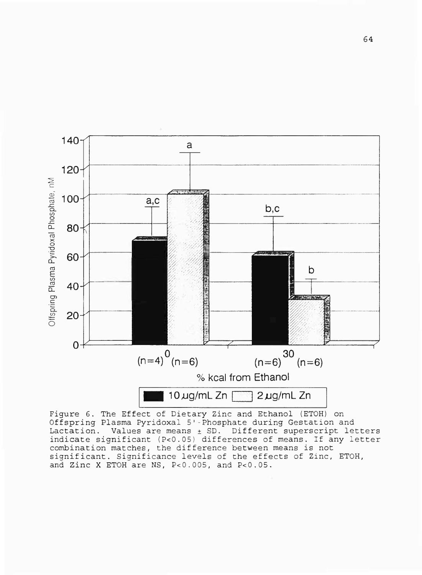

Figure 6. The Effect of Dietary Zinc and Ethanol (ETOH) on Offspring Plasma Pyridoxal 5'-Phosphate during Gestation and Lactation. Values are means  $\pm$  SD. Different superscript letters indicate significant (P<0.05) differences of means. If any letter combination matches, the difference between means is not significant. Significance levels of the effects of Zinc, ETOH, and Zinc X ETOH are NS, P<0.005, and P<0.05.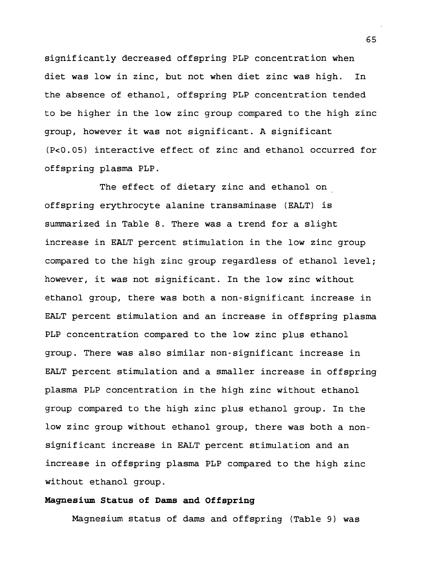significantly decreased offspring PLP concentration when diet was low in zinc, but not when diet zinc was high. In the absence of ethanol, offspring PLP concentration tended to be higher in the low zinc group compared to the high zinc group, however it was not significant. A significant (P<0.05) interactive effect of zinc and ethanol occurred for offspring plasma PLP.

The effect of dietary zinc and ethanol on offspring erythrocyte alanine transaminase (EALT) is summarized in Table 8. There was a trend for a slight increase in EALT percent stimulation in the low zinc group compared to the high zinc group regardless of ethanol level; however, it was not significant. In the low zinc without ethanol group, there was both a non-significant increase in EALT percent stimulation and an increase in offspring plasma PLP concentration compared to the low zinc plus ethanol group. There was also similar non-significant increase in EALT percent stimulation and a smaller increase in offspring plasma PLP concentration in the high zinc without ethanol group compared to the high zinc plus ethanol group. In the low zinc group without ethanol group, there was both a nonsignificant increase in EALT percent stimulation and an increase in offspring plasma PLP compared to the high zinc without ethanol group.

# **Magnesium Status of Dams and Offspring**

Magnesium status of dams and offspring (Table 9) was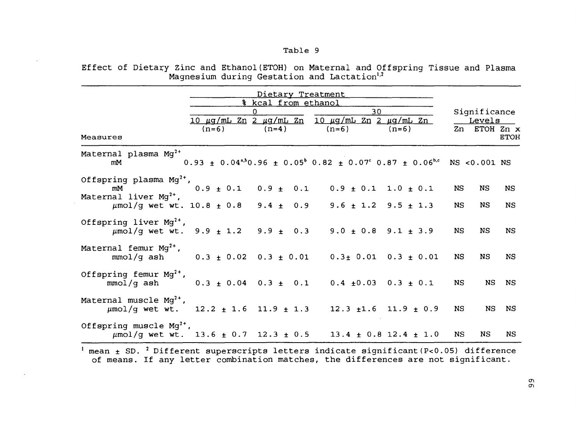### Table <sup>9</sup>

Effect of Dietary Zinc and Ethanol(ETOH) on Maternal and Offspring Tissue and Plasma Magnesium during Gestation and Lactation $^{\mathrm{l},\mathrm{2}}$ 

|                                                                                                                | Dietary Treatment   |         |                                                                                                                                                             |         |                                                       |                              |
|----------------------------------------------------------------------------------------------------------------|---------------------|---------|-------------------------------------------------------------------------------------------------------------------------------------------------------------|---------|-------------------------------------------------------|------------------------------|
|                                                                                                                | % kcal from ethanol |         |                                                                                                                                                             |         |                                                       |                              |
| Measures                                                                                                       | $(n=6)$             | $(n=4)$ | 30<br><u>10 μg/mL Zn 2 μg/mL Zn 10 μg/mL Zn 2 μg/mL Zn</u><br>$(n=6)$                                                                                       | $(n=6)$ | Significance<br>Levels<br>Zn ETOH Zn x<br><b>ETOH</b> |                              |
| Maternal plasma Mq <sup>2+</sup><br>mM                                                                         |                     |         | $0.93 \pm 0.04^{a,b}0.96 \pm 0.05^{b}0.82 \pm 0.07^{c}0.87 \pm 0.06^{b,c}$ NS <0.001 NS                                                                     |         |                                                       |                              |
| Offspring plasma $Mg^{2+}$ ,<br>mM<br>Maternal liver $Mq^{2+}$ ,                                               |                     |         | $0.9 \pm 0.1$ $0.9 \pm 0.1$ $0.9 \pm 0.1$ $1.0 \pm 0.1$                                                                                                     |         | NS.                                                   | <b>NS</b><br>NS              |
| Offspring liver $Mg^{2+}$ ,                                                                                    |                     |         | $\mu$ mol/g wet wt. 10.8 $\pm$ 0.8 9.4 $\pm$ 0.9 9.6 $\pm$ 1.2 9.5 $\pm$ 1.3<br>$\mu$ mol/g wet wt. 9.9 $\pm$ 1.2 9.9 $\pm$ 0.3 9.0 $\pm$ 0.8 9.1 $\pm$ 3.9 |         | NS.<br>NS.                                            | NS<br><b>NS</b><br>NS<br>NS. |
| Maternal femur $Mg^{2+}$ ,<br>mmol/g ash $0.3 \pm 0.02$ $0.3 \pm 0.01$ $0.3 \pm 0.01$ $0.3 \pm 0.01$           |                     |         |                                                                                                                                                             |         | NS.                                                   | NS.<br>NS.                   |
| Offspring femur $Mq^{2+}$ ,<br>mmol/g ash 0.3 ± 0.04 0.3 ± 0.1 0.4 ±0.03 0.3 ± 0.1                             |                     |         |                                                                                                                                                             |         | NS.                                                   | NS.<br>NS.                   |
| Maternal muscle $Mg^{2+}$ ,<br>$\mu$ mol/g wet wt. 12.2 $\pm$ 1.6 11.9 $\pm$ 1.3 12.3 $\pm$ 1.6 11.9 $\pm$ 0.9 |                     |         |                                                                                                                                                             |         | <b>NS</b>                                             | NS.<br>NS.                   |
| Offspring muscle $Mq^{2+}$ ,                                                                                   |                     |         | $\mu$ mol/g wet wt. 13.6 $\pm$ 0.7 12.3 $\pm$ 0.5 13.4 $\pm$ 0.8 12.4 $\pm$ 1.0                                                                             |         | NS.                                                   | NS.<br>NS.                   |

 $^{\rm 1}$  mean  $\rm \pm$  SD.  $^{\rm 2}$  Different superscripts letters indicate significant(P<0.05) difference of means. If any letter combination matches, the differences are not significant.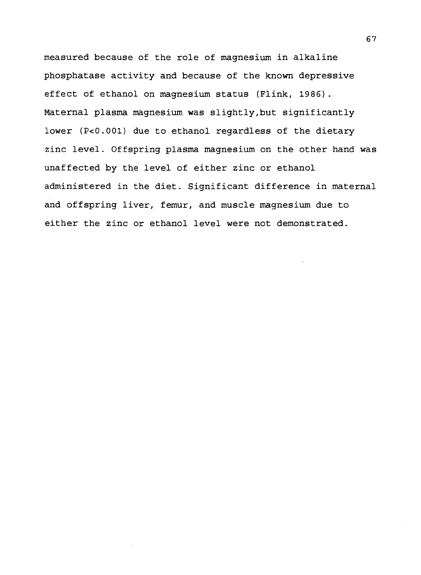measured because of the role of magnesium in alkaline phosphatase activity and because of the known depressive effect of ethanol on magnesium status (Flink, 1986). Maternal plasma magnesium was slightly,but significantly lower (P<0.001) due to ethanol regardless of the dietary zinc level. Offspring plasma magnesium on the other hand was unaffected by the level of either zinc or ethanol administered in the diet. Significant difference in maternal and offspring liver, femur, and muscle magnesium due to either the zinc or ethanol level were not demonstrated.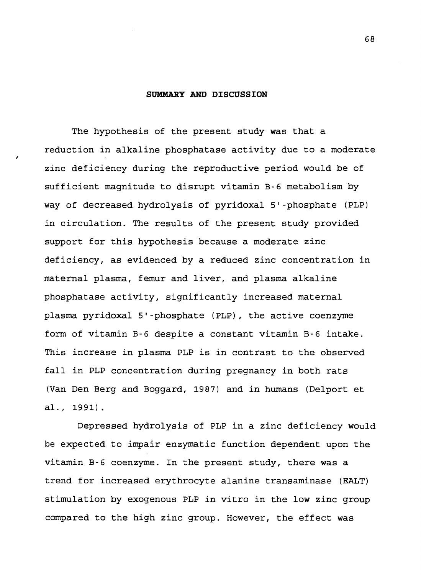#### SUMMARY AND DISCUSSION

The hypothesis of the present study was that a reduction in alkaline phosphatase activity due to a moderate zinc deficiency during the reproductive period would be of sufficient magnitude to disrupt vitamin B-6 metabolism by way of decreased hydrolysis of pyridoxal 5'-phosphate (PLP) in circulation. The results of the present study provided support for this hypothesis because a moderate zinc deficiency, as evidenced by a reduced zinc concentration in maternal plasma, femur and liver, and plasma alkaline phosphatase activity, significantly increased maternal plasma pyridoxal 5'-phosphate (PLP), the active coenzyme form of vitamin B-6 despite a constant vitamin B-6 intake. This increase in plasma PLP is in contrast to the observed fall in PLP concentration during pregnancy in both rats (Van Den Berg and Boggard, 1987) and in humans (Delport et al., 1991).

Depressed hydrolysis of PLP in a zinc deficiency would be expected to impair enzymatic function dependent upon the vitamin B-6 coenzyme. In the present study, there was a trend for increased erythrocyte alanine transaminase (EALT) stimulation by exogenous PLP in vitro in the low zinc group compared to the high zinc group. However, the effect was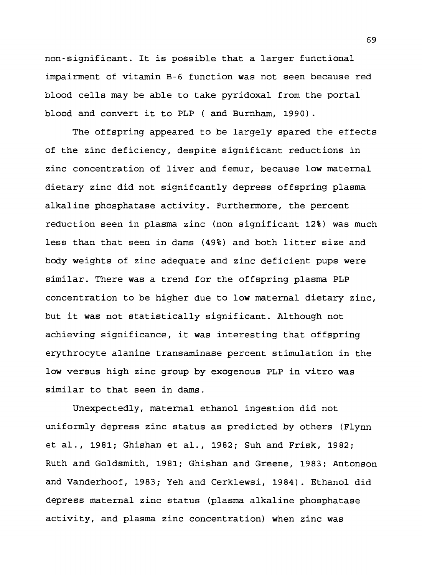non-signifleant. It is possible that a larger functional impairment of vitamin B-6 function was not seen because red blood cells may be able to take pyridoxal from the portal blood and convert it to PLP ( and Burnham, 1990).

The offspring appeared to be largely spared the effects of the zinc deficiency, despite significant reductions in zinc concentration of liver and femur, because low maternal dietary zinc did not signifcantly depress offspring plasma alkaline phosphatase activity. Furthermore, the percent reduction seen in plasma zinc (non significant 12%) was much less than that seen in dams (49%) and both litter size and body weights of zinc adequate and zinc deficient pups were similar. There was a trend for the offspring plasma PLP concentration to be higher due to low maternal dietary zinc, but it was not statistically significant. Although not achieving significance, it was interesting that offspring erythrocyte alanine transaminase percent stimulation in the low versus high zinc group by exogenous PLP in vitro was similar to that seen in dams.

Unexpectedly, maternal ethanol ingestion did not uniformly depress zinc status as predicted by others (Flynn et al., 1981; Ghishan et al., 1982; Suh and Frisk, 1982; Ruth and Goldsmith, 1981; Ghishan and Greene, 1983; Antonson and Vanderhoof, 1983; Yeh and Cerklewsi, 1984). Ethanol did depress maternal zinc status (plasma alkaline phosphatase activity, and plasma zinc concentration) when zinc was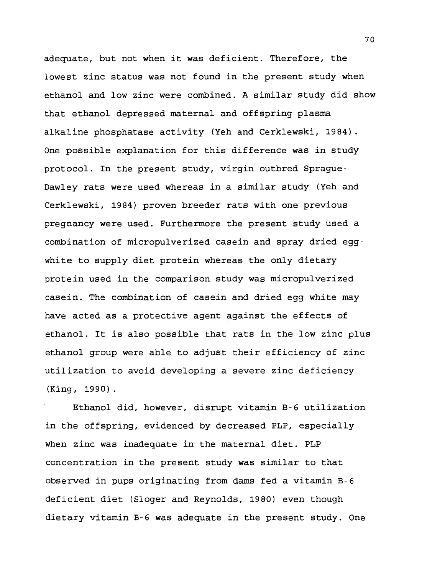adequate, but not when it was deficient. Therefore, the lowest zinc status was not found in the present study when ethanol and low zinc were combined. A similar study did show that ethanol depressed maternal and offspring plasma alkaline phosphatase activity (Yeh and Cerklewski, 1984). One possible explanation for this difference was in study protocol. In the present study, virgin outbred Sprague-Dawley rats were used whereas in a similar study (Yeh and Cerklewski, 1984) proven breeder rats with one previous pregnancy were used. Furthermore the present study used a combination of micropulverized casein and spray dried eggwhite to supply diet protein whereas the only dietary protein used in the comparison study was micropulverized casein. The combination of casein and dried egg white may have acted as a protective agent against the effects of ethanol. It is also possible that rats in the low zinc plus ethanol group were able to adjust their efficiency of zinc utilization to avoid developing a severe zinc deficiency (King, 1990).

Ethanol did, however, disrupt vitamin B-6 utilization in the offspring, evidenced by decreased PLP, especially when zinc was inadequate in the maternal diet. PLP concentration in the present study was similar to that observed in pups originating from dams fed a vitamin B-6 deficient diet (Sloger and Reynolds, 1980) even though dietary vitamin B-6 was adequate in the present study. One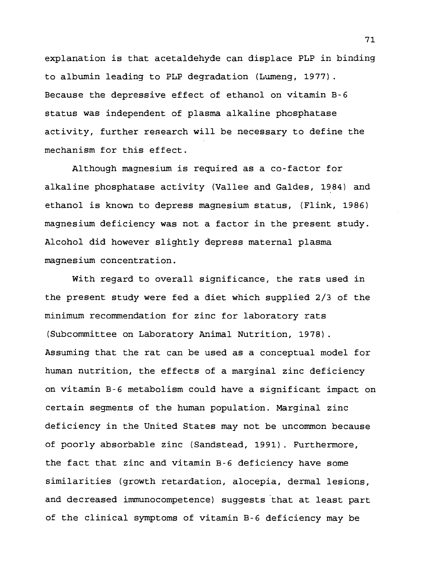explanation is that acetaldehyde can displace PLP in binding to albumin leading to PLP degradation (Lumeng, 1977). Because the depressive effect of ethanol on vitamin B-6 status was independent of plasma alkaline phosphatase activity, further research will be necessary to define the mechanism for this effect.

Although magnesium is required as a co-factor for alkaline phosphatase activity (Vallee and Galdes, 1984) and ethanol is known to depress magnesium status, (Flink, 1986) magnesium deficiency was not a factor in the present study. Alcohol did however slightly depress maternal plasma magnesium concentration.

With regard to overall significance, the rats used in the present study were fed a diet which supplied 2/3 of the minimum recommendation for zinc for laboratory rats (Subcommittee on Laboratory Animal Nutrition, 1978). Assuming that the rat can be used as a conceptual model for human nutrition, the effects of a marginal zinc deficiency on vitamin B-6 metabolism could have a significant impact on certain segments of the human population. Marginal zinc deficiency in the United States may not be uncommon because of poorly absorbable zinc (Sandstead, 1991). Furthermore, the fact that zinc and vitamin B-6 deficiency have some similarities (growth retardation, alocepia, dermal lesions, and decreased immunocompetence) suggests that at least part of the clinical symptoms of vitamin B-6 deficiency may be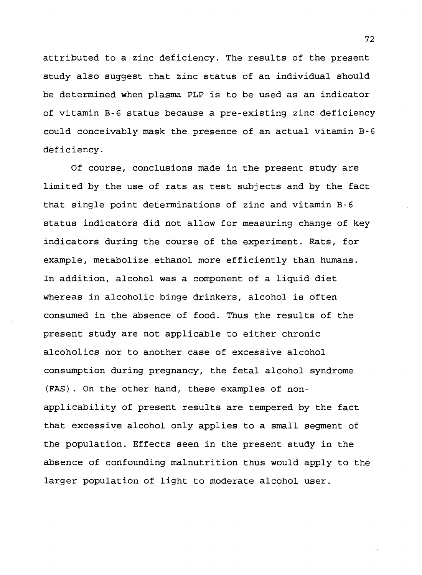attributed to a zinc deficiency. The results of the present study also suggest that zinc status of an individual should be determined when plasma PLP is to be used as an indicator of vitamin B-6 status because a pre-existing zinc deficiency could conceivably mask the presence of an actual vitamin B-6 deficiency.

Of course, conclusions made in the present study are limited by the use of rats as test subjects and by the fact that single point determinations of zinc and vitamin B-6 status indicators did not allow for measuring change of key indicators during the course of the experiment. Rats, for example, metabolize ethanol more efficiently than humans. In addition, alcohol was a component of a liquid diet whereas in alcoholic binge drinkers, alcohol is often consumed in the absence of food. Thus the results of the present study are not applicable to either chronic alcoholics nor to another case of excessive alcohol consumption during pregnancy, the fetal alcohol syndrome (FAS). On the other hand, these examples of nonapplicability of present results are tempered by the fact that excessive alcohol only applies to a small segment of the population. Effects seen in the present study in the absence of confounding malnutrition thus would apply to the larger population of light to moderate alcohol user.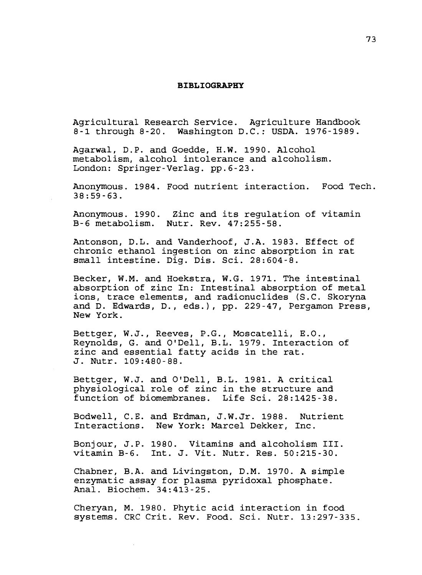#### **BIBLIOGRAPHY**

Agricultural Research Service. Agriculture Handbook 8-1 through 8-20. Washington D.C.: USDA. 1976-1989.

Agarwal, D.P. and Goedde, H.W. 1990. Alcohol metabolism, alcohol intolerance and alcoholism. London: Springer-Verlag. pp.6-23.

Anonymous. 1984. Food nutrient interaction. Food Tech, 38:59-63.

Anonymous. 1990. Zinc and its regulation of vitamin B-6 metabolism. Nutr. Rev. 47:255-58.

Antonson, D.L. and Vanderhoof, J.A. 1983. Effect of chronic ethanol ingestion on zinc absorption in rat small intestine. Dig. Dis. Sci. 28:604-8.

Becker, W.M. and Hoekstra, W.G. 1971. The intestinal absorption of zinc In: Intestinal absorption of metal ions, trace elements, and radionuclides (S.C. Skoryna and D. Edwards, D., eds.), pp. 229-47, Pergamon Press, New York.

Bettger, W.J., Reeves, P.G., Moscatelli, E.O., Reynolds, G. and O'Dell, B.L. 1979. Interaction of zinc and essential fatty acids in the rat. J. Nutr. 109:480-88.

Bettger, W.J. and O'Dell, B.L. 1981. A critical physiological role of zinc in the structure and function of biomembranes.

Bodwell, C.E. and Erdman, J.W.Jr. 1988. Nutrient Interactions. New York: Marcel Dekker, Inc.

Bonjour, J.P. 1980. Vitamins and alcoholism III. vitamin B-6. Int. J. Vit. Nutr. Res. 50:215-30.

Chabner, B.A. and Livingston, D.M. 1970. A simple enzymatic assay for plasma pyridoxal phosphate. Anal. Biochem. 34:413-25.

Cheryan, M. 1980. Phytic acid interaction in food systems. CRC Crit. Rev. Food. Sci. Nutr. 13:297-335.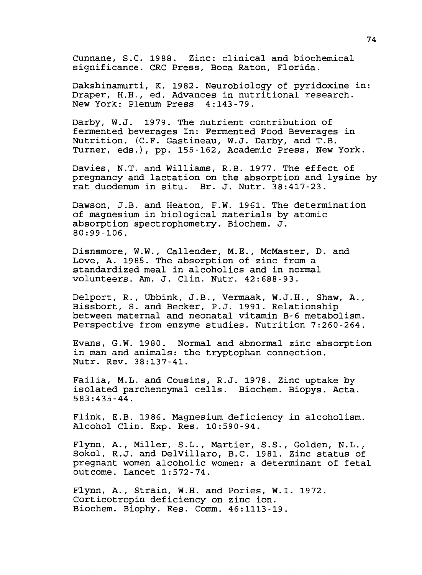Cunnane, S.C. 1988. Zinc: clinical and biochemical significance. CRC Press, Boca Raton, Florida.

Dakshinamurti, K. 1982. Neurobiology of pyridoxine in: Draper, H.H., ed. Advances in nutritional research. New York: Plenum Press 4:143-79.

Darby, W.J. 1979. The nutrient contribution of fermented beverages In: Fermented Food Beverages in Nutrition. (C.F. Gastineau, W.J. Darby, and T.B. Turner, eds.), pp. 155-162, Academic Press, New York.

Davies, N.T. and Williams, R.B. 1977. The effect of pregnancy and lactation on the absorption and lysine by rat duodenum in situ. Br. J. Nutr. 38:417-23.

Dawson, J.B. and Heaton, F.W. 1961. The determination of magnesium in biological materials by atomic absorption spectrophometry. Biochem. J. 80:99-106.

Disnsmore, W.W., Callender, M.E., McMaster, D. and Love, A. 1985. The absorption of zinc from a standardized meal in alcoholics and in normal volunteers. Am. J. Clin. Nutr. 42:688-93.

Delport, R., Ubbink, J.B., Vermaak, W.J.H., Shaw, A., Bissbort, S. and Becker, P.J. 1991. Relationship between maternal and neonatal vitamin B-6 metabolism. Perspective from enzyme studies. Nutrition 7:260-264.

Evans, G.W. 1980. Normal and abnormal zinc absorption in man and animals: the tryptophan connection. Nutr. Rev. 38:137-41.

Failia, M.L. and Cousins, R.J. 1978. Zinc uptake by isolated parchencymal cells. Biochem. Biopys. Acta. 583:435-44.

Flink, E.B. 1986. Magnesium deficiency in alcoholism. Alcohol Clin. Exp. Res. 10:590-94.

Flynn, A., Miller, S.L., Martier, S.S., Golden, N.L., Sokol, R.J. and DelVillaro, B.C. 1981. Zinc status of pregnant women alcoholic women: a determinant of fetal outcome. Lancet 1:572-74.

Flynn, A., Strain, W.H. and Pories, W.I. 1972. Corticotropin deficiency on zinc ion. Biochem. Biophy. Res. Comm. 46:1113-19.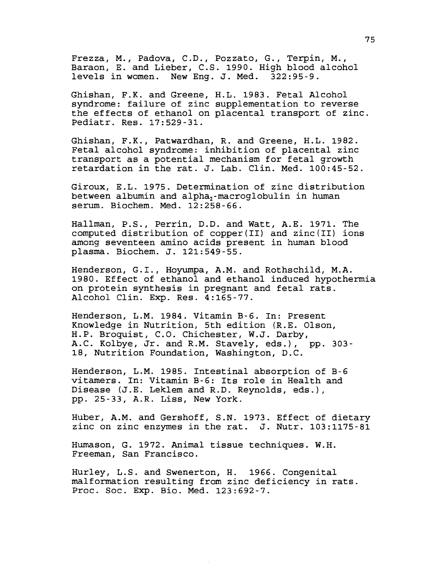Frezza, M., Padova, C.D., Pozzato, G., Terpin, M., Baraon, E. and Lieber, C.S. 1990. High blood alcohol levels in women. New Eng. J. Med. 322:95-9.

Ghishan, F.K. and Greene, H.L. 1983. Fetal Alcohol syndrome: failure of zinc supplementation to reverse the effects of ethanol on placental transport of zinc. Pediatr. Res. 17:529-31.

Ghishan, F.K., Patwardhan, R. and Greene, H.L. 1982. Fetal alcohol syndrome: inhibition of placental zinc transport as a potential mechanism for fetal growth retardation in the rat. J. Lab. Clin. Med. 100:45-52.

Giroux, E.L. 1975. Determination of zinc distribution between albumin and alpha<sub>2</sub>-macroglobulin in human serum. Biochem. Med. 12:258-66.

Hallman, P.S., Perrin, D.D. and Watt, A.E. 1971. The computed distribution of copper(II) and zinc(II) ions among seventeen amino acids present in human blood plasma. Biochem. J. 121:549-55.

Henderson, G.I., Hoyumpa, A.M. and Rothschild, M.A. 1980. Effect of ethanol and ethanol induced hypothermia on protein synthesis in pregnant and fetal rats. Alcohol Clin. Exp. Res. 4:165-77.

Henderson, L.M. 1984. Vitamin B-6. In: Present Knowledge in Nutrition, 5th edition (R.E. Olson, H.P. Broquist, C.O. Chichester, W.J. Darby, A.C Kolbye, Jr. and R.M. Stavely, eds.), pp. *303-* 18, Nutrition Foundation, Washington, D.C

Henderson, L.M. 1985. Intestinal absorption of B-6 vitamers. In: Vitamin B-6: Its role in Health and Disease (J.E. Leklem and R.D. Reynolds, eds.), pp. 25-33, A.R. Liss, New York.

Huber, A.M. and Gershoff, S.N. 1973. Effect of dietary zinc on zinc enzymes in the rat. J. Nutr. 103:1175-81

Humason, G. 1972. Animal tissue techniques. W.H. Freeman, San Francisco.

Hurley, L.S. and Swenerton, H. 1966. Congenital malformation resulting from zinc deficiency in rats. Proc. Soc. Exp. Bio. Med. 123:692-7.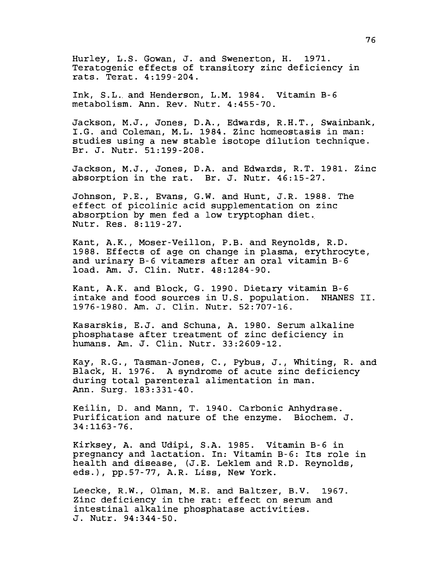Hurley, L.S. Gowan, J. and Swenerton, H. 1971. Teratogenic effects of transitory zinc deficiency in rats. Terat. 4:199-204.

Ink, S.L.. and Henderson, L.M. 1984. Vitamin B-6 metabolism. Ann. Rev. Nutr. 4:455-70.

Jackson, M.J., Jones, D.A., Edwards, R.H.T., Swainbank, I.G. and Coleman, M.L. 1984. Zinc homeostasis in man: studies using a new stable isotope dilution technique. Br. J. Nutr. 51:199-208.

Jackson, M.J., Jones, D.A. and Edwards, R.T. 1981. Zinc absorption in the rat. Br. J. Nutr. 46:15-27.

Johnson, P.E., Evans, G.W. and Hunt, J.R. 1988. The effect of picolinic acid supplementation on zinc absorption by men fed a low tryptophan diet.. Nutr. Res. 8:119-27.

Kant, A.K., Moser-Veillon, P.B. and Reynolds, R.D. 1988. Effects of age on change in plasma, erythrocyte, and urinary B-6 vitamers after an oral vitamin B-6 load. Am. J. Clin. Nutr. 48:1284-90.

Kant, A.K. and Block, G. 1990. Dietary vitamin B-6 intake and food sources in U.S. population. NHANES II. 1976-1980. Am. J. Clin. Nutr. 52:707-16.

Kasarskis, E.J. and Schuna, A. 1980. Serum alkaline phosphatase after treatment of zinc deficiency in humans. Am. J. Clin. Nutr. 33:2609-12.

Kay, R.G., Tasman-Jones, C, Pybus, J., Whiting, R. and Black, H. 1976. A syndrome of acute zinc deficiency during total parenteral alimentation in man. Ann. Surg. 183:331-40.

Keilin, D. and Mann, T. 1940. Carbonic Anhydrase. Purification and nature of the enzyme. Biochem. J. 34:1163-76.

Kirksey, A. and Udipi, S.A. 1985. Vitamin B-6 in pregnancy and lactation. In: Vitamin B-6: Its role in health and disease, (J.E. Leklem and R.D. Reynolds, eds.), pp.57-77, A.R. Liss, New York.

Leecke, R.W., Olman, M.E. and Baltzer, B.V. 1967. Zinc deficiency in the rat: effect on serum and intestinal alkaline phosphatase activities. J. Nutr. 94:344-50.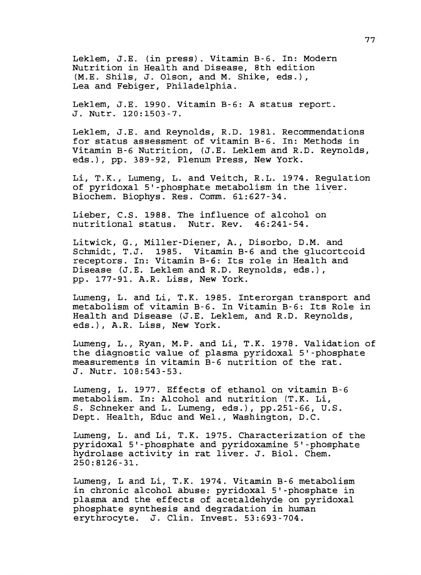Leklem, J.E. (in press). Vitamin B-6. In: Modern Nutrition in Health and Disease, 8th edition (M.E. Shils, J. Olson, and M. Shike, eds.), Lea and Febiger, Philadelphia.

Leklem, J.E. 1990. Vitamin B-6: A status report. J. Nutr. 120:1503-7.

Leklem, J.E. and Reynolds, R.D. 1981. Recommendations for status assessment of vitamin B-6. In: Methods in Vitamin B-6 Nutrition, (J.E. Leklem and R.D. Reynolds, eds.), pp. 389-92, Plenum Press, New York.

Li, T.K., Lumeng, L. and Veitch, R.L. 1974. Regulation of pyridoxal 5'-phosphate metabolism in the liver. Biochem. Biophys. Res. Comm. 61:627-34.

Lieber, C.S. 1988. The influence of alcohol on nutritional status. Nutr. Rev. 46:241-54.

Litwick, G., Miller-Diener, A., Disorbo, D.M. and Schmidt, T.J. 1985. Vitamin B-6 and the glucortcoid receptors. In: Vitamin B-6: Its role in Health and Disease (J.E. Leklem and R.D. Reynolds, eds.), pp. 177-91. A.R. Liss, New York.

Lumeng, L. and Li, T.K. 19 85. Interorgan transport and metabolism of vitamin B-6. In Vitamin B-6: Its Role in Health and Disease (J.E. Leklem, and R.D. Reynolds, eds.), A.R. Liss, New York.

Lumeng, L., Ryan, M.P. and Li, T.K. 1978. Validation of the diagnostic value of plasma pyridoxal 5'-phosphate measurements in vitamin B-6 nutrition of the rat. J. Nutr. 108:543-53.

Lumeng, L. 1977. Effects of ethanol on vitamin B-6 metabolism. In: Alcohol and nutrition (T.K. Li, S. Schneker and L. Lumeng, eds.), pp.251-66, U.S. Dept. Health, Educ and Wei., Washington, D.C.

Lumeng, L. and Li, T.K. 1975. Characterization of the pyridoxal 5'-phosphate and pyridoxamine 5'-phosphate hydrolase activity in rat liver. J. Biol. Chem. 250:8126-31.

Lumeng, L and Li, T.K. 1974. Vitamin B-6 metabolism in chronic alcohol abuse: pyridoxal 5'-phosphate in plasma and the effects of acetaldehyde on pyridoxal phosphate synthesis and degradation in human erythrocyte. J. Clin. Invest. 53:693-704.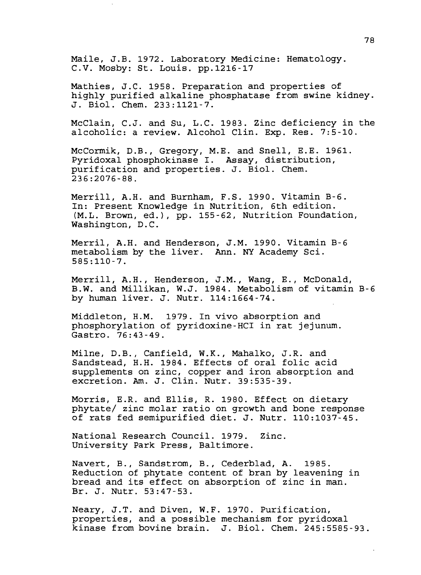Maile, J.B. 1972. Laboratory Medicine: Hematology. C.V. Mosby: St. Louis, pp.1216-17

Mathies, J.C. 1958. Preparation and properties of highly purified alkaline phosphatase from swine kidney. J. Biol. Chem. 233:1121-7.

McClain, C.J. and Su, L.C. 1983. Zinc deficiency in the alcoholic: a review. Alcohol Clin. Exp. Res. 7:5-10.

McCormik, D.B., Gregory, M.E. and Snell, E.E. 1961. Pyridoxal phosphokinase I. Assay, distribution, purification and properties. J. Biol. Chem. 236:2076-88.

Merrill, A.H. and Burnham, F.S. 1990. Vitamin B-6. In: Present Knowledge in Nutrition, 6th edition. (M.L. Brown, ed.), pp. 155-62, Nutrition Foundation, Washington, D.C.

Merril, A.H. and Henderson, J.M. 1990. Vitamin B-6 metabolism by the liver. Ann. NY Academy Sci. 585:110-7.

Merrill, A.H., Henderson, J.M., Wang, E., McDonald, B.W. and Millikan, W.J. 1984. Metabolism of vitamin B-6 by human liver. J. Nutr. 114:1664-74.

Middleton, H.M. 1979. In vivo absorption and phosphorylation of pyridoxine-HCI in rat jejunum. Gastro. 76:43-49.

Milne, D.B., Canfield, W.K., Mahalko, J.R. and Sandstead, H.H. 1984. Effects of oral folic acid supplements on zinc, copper and iron absorption and excretion. Am. J. Clin. Nutr. 39:535-39.

Morris, E.R. and Ellis, R. 1980. Effect on dietary phytate/ zinc molar ratio on growth and bone response of rats fed semipurified diet. J. Nutr. 110:1037-45.

National Research Council. 1979. Zinc. University Park Press, Baltimore.

Navert, B., Sandstrom, B., Cederblad, A. 1985. Reduction of phytate content of bran by leavening in bread and its effect on absorption of zinc in man. Br. J. Nutr. 53:47-53.

Neary, J.T. and Diven, W.F. 1970. Purification, properties, and a possible mechanism for pyridoxal kinase from bovine brain. J. Biol. Chem. 245:5585-93.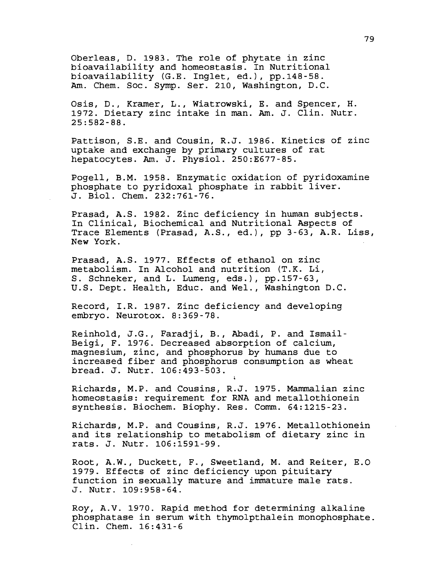Oberleas, D. 1983. The role of phytate in zinc bioavailability and homeostasis. In Nutritional bioavailability (G.E. Inglet, ed.), pp.148-58. Am. Chem. Soc. Symp. Ser. 210, Washington, D.C.

Osis, D., Kramer, L., Wiatrowski, E. and Spencer, H. 1972. Dietary zinc intake in man. Am. J. Clin. Nutr. 25:582-88.

Pattison, S.E. and Cousin, R.J. 1986. Kinetics of zinc uptake and exchange by primary cultures of rat hepatocytes. Am. J. Physiol. 250:E677-85.

Pogell, B.M. 1958. Enzymatic oxidation of pyridoxamine phosphate to pyridoxal phosphate in rabbit liver. J. Biol. Chem. 232:761-76.

Prasad, A.S. 1982. Zinc deficiency in human subjects. In Clinical, Biochemical and Nutritional Aspects of Trace Elements (Prasad, A.S., ed.), pp 3-63, A.R. Liss, New York.

Prasad, A.S. 1977. Effects of ethanol on zinc metabolism. In Alcohol and nutrition (T.K. Li, S. Schneker, and L. Lumeng, eds.), pp.157-63, U.S. Dept. Health, Educ. and Wei., Washington D.C.

Record, I.R. 1987. Zinc deficiency and developing embryo. Neurotox. 8:369-78.

Reinhold, J.G., Faradji, B., Abadi, P. and Ismail-Beigi, F. 1976. Decreased absorption of calcium, magnesium, zinc, and phosphorus by humans due to increased fiber and phosphorus consumption as wheat bread. J. Nutr. 106:493-503.

Richards, M.P. and Cousins, R.J. 1975. Mammalian zinc homeostasis: requirement for RNA and metallothionein synthesis. Biochem. Biophy. Res. Comm. 64:1215-23.

Richards, M.P. and Cousins, R.J. 1976. Metallothionein and its relationship to metabolism of dietary zinc in rats. J. Nutr. 106:1591-99.

Root, A.W., Duckett, F., Sweetland, M. and Reiter, E.O 1979. Effects of zinc deficiency upon pituitary function in sexually mature and immature male rats. J. Nutr. 109:958-64.

Roy, A.V. 1970. Rapid method for determining alkaline phosphatase in serum with thymolpthalein monophosphate. Clin. Chem. 16:431-6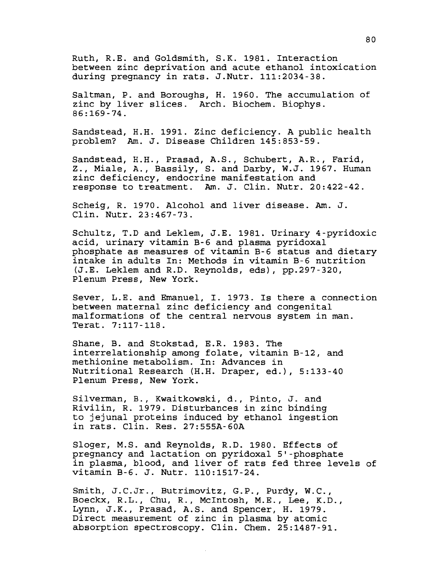Ruth, R.E. and Goldsmith, S.K. 1981. Interaction between zinc deprivation and acute ethanol intoxication during pregnancy in rats. J.Nutr. 111:2034-38.

Saltman, P. and Boroughs, H. 1960. The accumulation of zinc by liver slices. Arch. Biochem. Biophys.  $86:169-74$ .

Sandstead, H.H. 1991. Zinc deficiency. A public health problem? Am. J. Disease Children 145:853-59.

Sandstead, H.H., Prasad, A.S., Schubert, A.R., Farid, Z., Miale, A., Bassily, S. and Darby, W.J. 1967. Human zinc deficiency, endocrine manifestation and response to treatment. Am. J. Clin. Nutr. 20:422-42.

Scheig, R. 1970. Alcohol and liver disease. Am. J. Clin. Nutr. 23:467-73.

Schultz, T.D and Leklem, J.E. 1981. Urinary 4-pyridoxic acid, urinary vitamin B-6 and plasma pyridoxal phosphate as measures of vitamin B-6 status and dietary intake in adults In: Methods in vitamin B-6 nutrition (J.E. Leklem and R.D. Reynolds, eds), pp.297-320, Plenum Press, New York.

Sever, L.E. and Emanuel, I. 1973. Is there a connection between maternal zinc deficiency and congenital malformations of the central nervous system in man. Terat. 7:117-118.

Shane, B. and Stokstad, E.R. 1983. The interrelationship among folate, vitamin B-12, and methionine metabolism. In: Advances in Nutritional Research (H.H. Draper, ed.), 5:133-40 Plenum Press, New York.

Silverman, B., Kwaitkowski, d., Pinto, J. and Rivilin, R. 1979. Disturbances in zinc binding to jejunal proteins induced by ethanol ingestion in rats. Clin. Res. 27:555A-60A

Sloger, M.S. and Reynolds, R.D. 1980. Effects of pregnancy and lactation on pyridoxal 5'-phosphate in plasma, blood, and liver of rats fed three levels of vitamin B-6. J. Nutr. 110:1517-24.

Smith, J.C.Jr., Butrimovitz, G.P., Purdy, W.C., Boeckx, R.L., Chu, R., Mclntosh, M.E., Lee, K.D., Lynn, J.K., Prasad, A.S. and Spencer, H. 1979. Direct measurement of zinc in plasma by atomic absorption spectroscopy. Clin. Chem. 25:1487-91.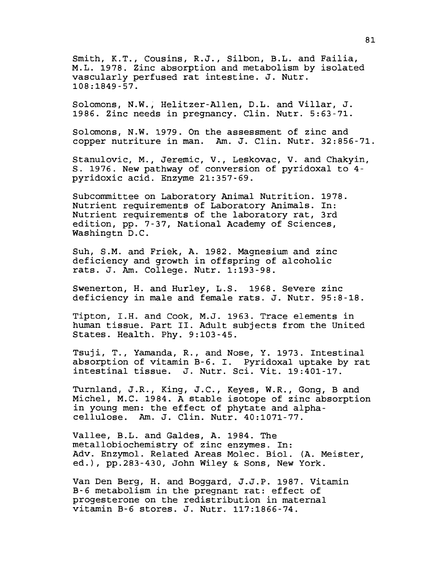Smith, K.T., Cousins, R.J., Silbon, B.L. and Failia, M.L. 19 78. Zinc absorption and metabolism by isolated vascularly perfused rat intestine. J. Nutr. 108:1849-57.

Solomons, N.W., Helitzer-Allen, D.L. and Villar, J. 1986. Zinc needs in pregnancy. Clin. Nutr. 5:63-71.

Solomons, N.W. 1979. On the assessment of zinc and copper nutriture in man. Am. J. Clin. Nutr. 32:856-71.

Stanulovic, M., Jeremic, V., Leskovac, V. and Chakyin, S. 1976. New pathway of conversion of pyridoxal to 4 pyridoxic acid. Enzyme 21:357-69.

Subcommittee on Laboratory Animal Nutrition. 1978. Nutrient requirements of Laboratory Animals. In: Nutrient requirements of the laboratory rat, 3rd edition, pp. 7-37, National Academy of Sciences, Washingtn D.C.

Suh, S.M. and Friek, A. 1982. Magnesium and zinc deficiency and growth in offspring of alcoholic rats. J. Am. College. Nutr. 1:193-98.

Swenerton, H. and Hurley, L.S. 1968. Severe zinc deficiency in male and female rats. J. Nutr. 95:8-18.

Tipton, I.H. and Cook, M.J. 1963. Trace elements in human tissue. Part II. Adult subjects from the United States. Health. Phy. 9:103-45.

Tsuji, T., Yamanda, R., and Nose, Y. 1973. Intestinal absorption of vitamin B-6. I. Pyridoxal uptake by rat intestinal tissue. J. Nutr. Sci. Vit. 19:401-17.

Turnland, J.R., King, J.C., Keyes, W.R., Gong, B and Michel, M.C. 19 84. A stable isotope of zinc absorption in young men: the effect of phytate and alphacellulose. Am. J. Clin. Nutr. 40:1071-77.

Vallee, B.L. and Galdes, A. 1984. The metallobiochemistry of zinc enzymes. In: Adv. Enzymol. Related Areas Molec. Biol. (A. Meister, ed.), pp.283-430, John Wiley & Sons, New York.

Van Den Berg, H. and Boggard, J.J.P. 1987. Vitamin B-6 metabolism in the pregnant rat: effect of progesterone on the redistribution in maternal vitamin B-6 stores. J. Nutr. 117:1866-74.